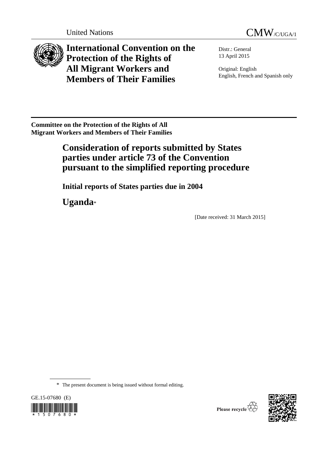



**International Convention on the Protection of the Rights of All Migrant Workers and Members of Their Families**

Distr.: General 13 April 2015

Original: English English, French and Spanish only

**Committee on the Protection of the Rights of All Migrant Workers and Members of Their Families** 

# **Consideration of reports submitted by States parties under article 73 of the Convention pursuant to the simplified reporting procedure**

**Initial reports of States parties due in 2004**

**Uganda**\*

[Date received: 31 March 2015]

\* The present document is being issued without formal editing.



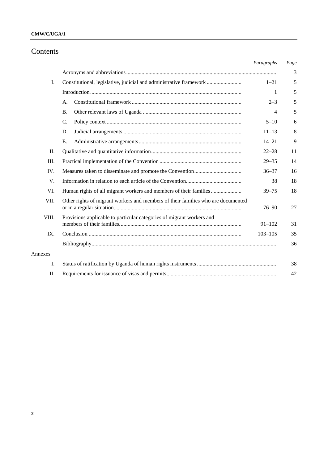## **CMW/C/UGA/1**

# Contents

|         |                                                                                  | Paragraphs  | Page |
|---------|----------------------------------------------------------------------------------|-------------|------|
|         |                                                                                  |             | 3    |
| I.      | Constitutional, legislative, judicial and administrative framework               | $1 - 21$    | 5    |
|         |                                                                                  | 1           | 5    |
|         | A.                                                                               | $2 - 3$     | 5    |
|         | <b>B.</b>                                                                        | 4           | 5    |
|         | $\mathcal{C}$ .                                                                  | $5 - 10$    | 6    |
|         | D.                                                                               | $11 - 13$   | 8    |
|         | Ε.                                                                               | $14 - 21$   | 9    |
| П.      |                                                                                  | $22 - 28$   | 11   |
| Ш.      |                                                                                  | $29 - 35$   | 14   |
| IV.     |                                                                                  | $36 - 37$   | 16   |
| V.      |                                                                                  | 38          | 18   |
| VI.     | Human rights of all migrant workers and members of their families                | $39 - 75$   | 18   |
| VII.    | Other rights of migrant workers and members of their families who are documented | $76 - 90$   | 27   |
| VIII.   | Provisions applicable to particular categories of migrant workers and            | $91 - 102$  | 31   |
| IX.     |                                                                                  | $103 - 105$ | 35   |
|         |                                                                                  |             | 36   |
| Annexes |                                                                                  |             |      |
| I.      |                                                                                  |             | 38   |
| Π.      |                                                                                  |             | 42   |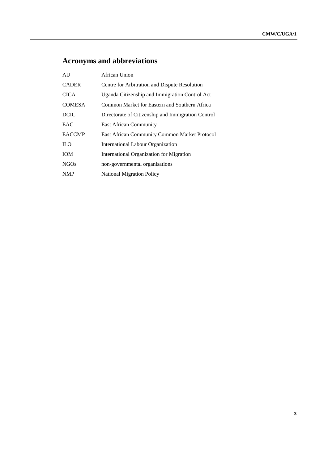# **Acronyms and abbreviations**

| AU            | African Union                                      |
|---------------|----------------------------------------------------|
| <b>CADER</b>  | Centre for Arbitration and Dispute Resolution      |
| <b>CICA</b>   | Uganda Citizenship and Immigration Control Act     |
| <b>COMESA</b> | Common Market for Eastern and Southern Africa      |
| <b>DCIC</b>   | Directorate of Citizenship and Immigration Control |
| <b>EAC</b>    | <b>East African Community</b>                      |
| <b>EACCMP</b> | East African Community Common Market Protocol      |
| ILO.          | International Labour Organization                  |
| <b>IOM</b>    | International Organization for Migration           |
| NGOs          | non-governmental organisations                     |
| <b>NMP</b>    | <b>National Migration Policy</b>                   |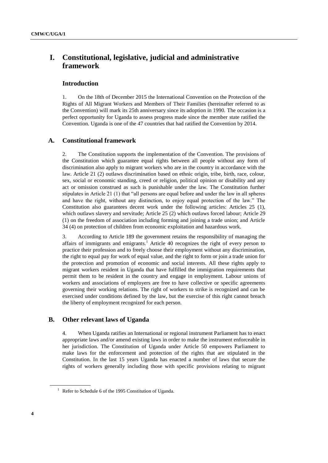# **I. Constitutional, legislative, judicial and administrative framework**

#### **Introduction**

1. On the 18th of December 2015 the International Convention on the Protection of the Rights of All Migrant Workers and Members of Their Families (hereinafter referred to as the Convention) will mark its 25th anniversary since its adoption in 1990. The occasion is a perfect opportunity for Uganda to assess progress made since the member state ratified the Convention. Uganda is one of the 47 countries that had ratified the Convention by 2014.

#### **A. Constitutional framework**

2. The Constitution supports the implementation of the Convention. The provisions of the Constitution which guarantee equal rights between all people without any form of discrimination also apply to migrant workers who are in the country in accordance with the law. Article 21 (2) outlaws discrimination based on ethnic origin, tribe, birth, race, colour, sex, social or economic standing, creed or religion, political opinion or disability and any act or omission construed as such is punishable under the law. The Constitution further stipulates in Article 21 (1) that "all persons are equal before and under the law in all spheres and have the right, without any distinction, to enjoy equal protection of the law." The Constitution also guarantees decent work under the following articles: Articles 25 (1), which outlaws slavery and servitude; Article 25 (2) which outlaws forced labour; Article 29 (1) on the freedom of association including forming and joining a trade union; and Article 34 (4) on protection of children from economic exploitation and hazardous work.

3. According to Article 189 the government retains the responsibility of managing the affairs of immigrants and emigrants. <sup>1</sup> Article 40 recognizes the right of every person to practice their profession and to freely choose their employment without any discrimination, the right to equal pay for work of equal value, and the right to form or join a trade union for the protection and promotion of economic and social interests. All these rights apply to migrant workers resident in Uganda that have fulfilled the immigration requirements that permit them to be resident in the country and engage in employment. Labour unions of workers and associations of employers are free to have collective or specific agreements governing their working relations. The right of workers to strike is recognized and can be exercised under conditions defined by the law, but the exercise of this right cannot breach the liberty of employment recognized for each person.

#### **B. Other relevant laws of Uganda**

4. When Uganda ratifies an International or regional instrument Parliament has to enact appropriate laws and/or amend existing laws in order to make the instrument enforceable in her jurisdiction. The Constitution of Uganda under Article 50 empowers Parliament to make laws for the enforcement and protection of the rights that are stipulated in the Constitution. In the last 15 years Uganda has enacted a number of laws that secure the rights of workers generally including those with specific provisions relating to migrant

 $1$  Refer to Schedule 6 of the 1995 Constitution of Uganda.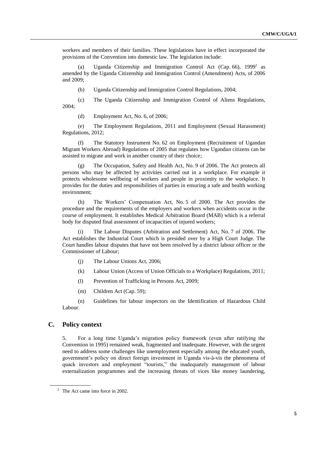workers and members of their families. These legislations have in effect incorporated the provisions of the Convention into domestic law. The legislation include:

(a) Uganda Citizenship and Immigration Control Act (Cap. 66),  $1999^2$  as amended by the Uganda Citizenship and Immigration Control (Amendment) Acts, of 2006 and 2009;

(b) Uganda Citizenship and Immigration Control Regulations, 2004;

(c) The Uganda Citizenship and Immigration Control of Aliens Regulations, 2004;

(d) Employment Act, No. 6, of 2006;

(e) The Employment Regulations, [2011 and Employment \(Sexual Harassment\)](http://library.ucu.ac.ug/cgi-bin/koha/opac-detail.pl?biblionumber=21240&query_desc=%28su%3A%7BEmployment%20regulations%7D%29%20AND%20%28su%3A%7B2011%7D%29%20AND%20%28su%3A%7BUganda%7D%29)  [Regulations, 2012;](http://library.ucu.ac.ug/cgi-bin/koha/opac-detail.pl?biblionumber=21240&query_desc=%28su%3A%7BEmployment%20regulations%7D%29%20AND%20%28su%3A%7B2011%7D%29%20AND%20%28su%3A%7BUganda%7D%29)

(f) The Statutory Instrument No. 62 on Employment (Recruitment of Ugandan Migrant Workers Abroad) Regulations of 2005 that regulates how Ugandan citizens can be assisted to migrate and work in another country of their choice;

(g) The Occupation, Safety and Health Act, No. 9 of 2006. The Act protects all persons who may be affected by activities carried out in a workplace. For example it protects wholesome wellbeing of workers and people in proximity to the workplace. It provides for the duties and responsibilities of parties in ensuring a safe and health working environment;

(h) The Workers' Compensation Act, No. 5 of 2000. The Act provides the procedure and the requirements of the employers and workers when accidents occur in the course of employment. It establishes Medical Arbitration Board (MAB) which is a referral body for disputed final assessment of incapacities of injured workers;

(i) The Labour Disputes (Arbitration and Settlement) Act, No. 7 of 2006. The Act establishes the Industrial Court which is presided over by a High Court Judge. The Court handles labour disputes that have not been resolved by a district labour officer or the Commissioner of Labour;

- (j) The Labour Unions Act, 2006;
- (k) Labour Union (Access of Union Officials to a Workplace) Regulations, 2011;
- (l) Prevention of Trafficking in Persons Act, 2009;
- (m) Children Act (Cap. 59);

(n) Guidelines for labour inspectors on the Identification of Hazardous Child Labour.

### **C. Policy context**

5. For a long time Uganda's migration policy framework (even after ratifying the Convention in 1995) remained weak, fragmented and inadequate. However, with the urgent need to address some challenges like unemployment especially among the educated youth, government's policy on direct foreign investment in Uganda vis-à-vis the phenomena of quack investors and employment "tourists," the inadequately management of labour externalization programmes and the increasing threats of vices like money laundering,

<sup>&</sup>lt;sup>2</sup> The Act came into force in 2002.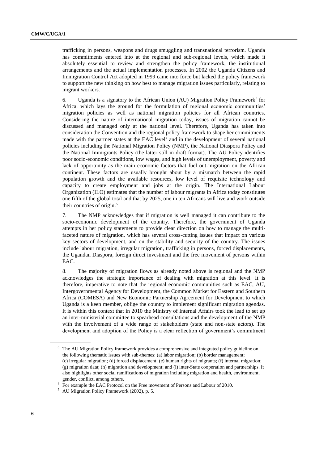trafficking in persons, weapons and drugs smuggling and transnational terrorism. Uganda has commitments entered into at the regional and sub-regional levels, which made it absolutely essential to review and strengthen the policy framework, the institutional arrangements and the actual implementation processes. In 2002 the Uganda Citizens and Immigration Control Act adopted in 1999 came into force but lacked the policy framework to support the new thinking on how best to manage migration issues particularly, relating to migrant workers.

6. Uganda is a signatory to the African Union (AU) Migration Policy Framework<sup>3</sup> for Africa, which lays the ground for the formulation of regional economic communities' migration policies as well as national migration policies for all African countries. Considering the nature of international migration today, issues of migration cannot be discussed and managed only at the national level. Therefore, Uganda has taken into consideration the Convention and the regional policy framework to shape her commitments made with the partner states at the  $EAC$  level<sup>4</sup> and in the development of several national policies including the National Migration Policy (NMP), the National Diaspora Policy and the National Immigrants Policy (the latter still in draft format). The AU Policy identifies poor socio-economic conditions, low wages, and high levels of unemployment, poverty and lack of opportunity as the main economic factors that fuel out-migration on the African continent. These factors are usually brought about by a mismatch between the rapid population growth and the available resources, low level of requisite technology and capacity to create employment and jobs at the origin. The International Labour Organization (ILO) estimates that the number of labour migrants in Africa today constitutes one fifth of the global total and that by 2025, one in ten Africans will live and work outside their countries of origin. 5

7. The NMP acknowledges that if migration is well managed it can contribute to the socio-economic development of the country. Therefore, the government of Uganda attempts in her policy statements to provide clear direction on how to manage the multifaceted nature of migration, which has several cross-cutting issues that impact on various key sectors of development, and on the stability and security of the country. The issues include labour migration, irregular migration, trafficking in persons, forced displacements, the Ugandan Diaspora, foreign direct investment and the free movement of persons within EAC.

8. The majority of migration flows as already noted above is regional and the NMP acknowledges the strategic importance of dealing with migration at this level. It is therefore, imperative to note that the regional economic communities such as EAC, AU, Intergovernmental Agency for Development, the Common Market for Eastern and Southern Africa (COMESA) and New Economic Partnership Agreement for Development to which Uganda is a keen member, oblige the country to implement significant migration agendas. It is within this context that in 2010 the Ministry of Internal Affairs took the lead to set up an inter-ministerial committee to spearhead consultations and the development of the NMP with the involvement of a wide range of stakeholders (state and non-state actors). The development and adoption of the Policy is a clear reflection of government's commitment

<sup>&</sup>lt;sup>3</sup> The AU Migration Policy framework provides a comprehensive and integrated policy guideline on the following thematic issues with sub-themes: (a) labor migration; (b) border management; (c) irregular migration; (d) forced displacement; (e) human rights of migrants; (f) internal migration; (g) migration data; (h) migration and development; and (i) inter-State cooperation and partnerships. It also highlights other social ramifications of migration including migration and health, environment, gender, conflict, among others.

<sup>&</sup>lt;sup>4</sup> For example the EAC Protocol on the Free movement of Persons and Labour of 2010.

<sup>5</sup> AU Migration Policy Framework (2002), p. 5.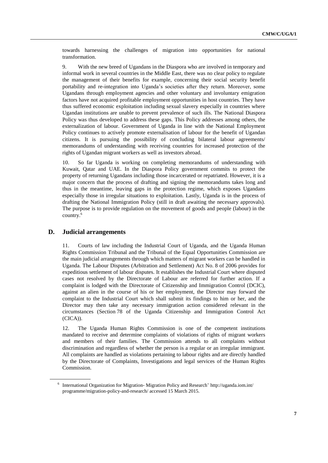towards harnessing the challenges of migration into opportunities for national transformation.

9. With the new breed of Ugandans in the Diaspora who are involved in temporary and informal work in several countries in the Middle East, there was no clear policy to regulate the management of their benefits for example, concerning their social security benefit portability and re-integration into Uganda's societies after they return. Moreover, some Ugandans through employment agencies and other voluntary and involuntary emigration factors have not acquired profitable employment opportunities in host countries. They have thus suffered economic exploitation including sexual slavery especially in countries where Ugandan institutions are unable to prevent prevalence of such ills. The National Diaspora Policy was thus developed to address these gaps. This Policy addresses among others, the externalization of labour. Government of Uganda in line with the National Employment Policy continues to actively promote externalisation of labour for the benefit of Ugandan citizens. It is pursuing the possibility of concluding bilateral labour agreements/ memorandums of understanding with receiving countries for increased protection of the rights of Ugandan migrant workers as well as investors abroad.

10. So far Uganda is working on completing memorandums of understanding with Kuwait, Qatar and UAE. In the Diaspora Policy government commits to protect the property of returning Ugandans including those incarcerated or repatriated. However, it is a major concern that the process of drafting and signing the memorandums takes long and thus in the meantime, leaving gaps in the protection regime, which exposes Ugandans especially those in irregular situations to exploitation. Lastly, Uganda is in the process of drafting the National Immigration Policy (still in draft awaiting the necessary approvals). The purpose is to provide regulation on the movement of goods and people (labour) in the country. 6

#### **D. Judicial arrangements**

11. Courts of law including the Industrial Court of Uganda, and the Uganda Human Rights Commission Tribunal and the Tribunal of the Equal Opportunities Commission are the main judicial arrangements through which matters of migrant workers can be handled in Uganda. The Labour Disputes (Arbitration and Settlement) Act No. 8 of 2006 provides for expeditious settlement of labour disputes. It establishes the Industrial Court where disputed cases not resolved by the Directorate of Labour are referred for further action. If a complaint is lodged with the Directorate of Citizenship and Immigration Control (DCIC), against an alien in the course of his or her employment, the Director may forward the complaint to the Industrial Court which shall submit its findings to him or her, and the Director may then take any necessary immigration action considered relevant in the circumstances (Section 78 of the Uganda Citizenship and Immigration Control Act (CICA)).

12. The Uganda Human Rights Commission is one of the competent institutions mandated to receive and determine complaints of violations of rights of migrant workers and members of their families. The Commission attends to all complaints without discrimination and regardless of whether the person is a regular or an irregular immigrant. All complaints are handled as violations pertaining to labour rights and are directly handled by the Directorate of Complaints, Investigations and legal services of the Human Rights Commission.

<sup>&</sup>lt;sup>6</sup> International Organization for Migration-Migration Policy and Research' [http://uganda.iom.int/](http://uganda.iom.int/programme/migration-policy-and-research/) [programme/migration-policy-and-research/](http://uganda.iom.int/programme/migration-policy-and-research/) accessed 15 March 2015.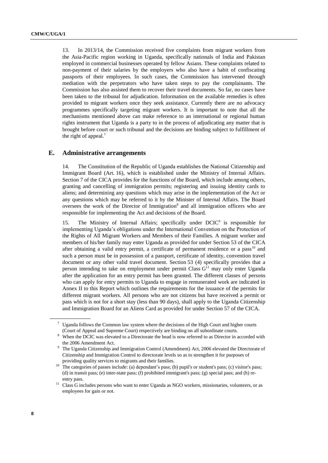13. In 2013/14, the Commission received five complaints from migrant workers from the Asia-Pacific region working in Uganda, specifically nationals of India and Pakistan employed in commercial businesses operated by fellow Asians. These complaints related to non-payment of their salaries by the employers who also have a habit of confiscating passports of their employees. In such cases, the Commission has intervened through mediation with the perpetrators who have taken steps to pay the complainants. The Commission has also assisted them to recover their travel documents. So far, no cases have been taken to the tribunal for adjudication. Information on the available remedies is often provided to migrant workers once they seek assistance. Currently there are no advocacy programmes specifically targeting migrant workers. It is important to note that all the mechanisms mentioned above can make reference to an international or regional human rights instrument that Uganda is a party to in the process of adjudicating any matter that is brought before court or such tribunal and the decisions are binding subject to fulfillment of the right of appeal. $<sup>7</sup>$ </sup>

#### **E. Administrative arrangements**

14. The Constitution of the Republic of Uganda establishes the National Citizenship and Immigrant Board (Art. 16), which is established under the Ministry of Internal Affairs. Section 7 of the CICA provides for the functions of the Board, which include among others, granting and cancelling of immigration permits; registering and issuing identity cards to aliens; and determining any questions which may arise in the implementation of the Act or any questions which may be referred to it by the Minister of Internal Affairs. The Board oversees the work of the Director of Immigration<sup>8</sup> and all immigration officers who are responsible for implementing the Act and decisions of the Board.

15. The Ministry of Internal Affairs; specifically under DCIC<sup>9</sup> is responsible for implementing Uganda's obligations under the International Convention on the Protection of the Rights of All Migrant Workers and Members of their Families. A migrant worker and members of his/her family may enter Uganda as provided for under Section 53 of the CICA after obtaining a valid entry permit, a certificate of permanent residence or a pass<sup>10</sup> and such a person must be in possession of a passport, certificate of identity, convention travel document or any other valid travel document. Section 53 (4) specifically provides that a person intending to take on employment under permit Class  $G<sup>11</sup>$  may only enter Uganda after the application for an entry permit has been granted. The different classes of persons who can apply for entry permits to Uganda to engage in remunerated work are indicated in Annex II to this Report which outlines the requirements for the issuance of the permits for different migrant workers. All persons who are not citizens but have received a permit or pass which is not for a short stay (less than 90 days), shall apply to the Uganda Citizenship and Immigration Board for an Aliens Card as provided for under Section 57 of the CICA.

Uganda follows the Common law system where the decisions of the High Court and higher courts (Court of Appeal and Supreme Court) respectively are binding on all subordinate courts.

<sup>&</sup>lt;sup>8</sup> When the DCIC was elevated to a Directorate the head is now referred to as Director in accorded with the 2006 Amendment Act.

<sup>&</sup>lt;sup>9</sup> The Uganda Citizenship and Immigration Control (Amendment) Act, 2006 elevated the Directorate of Citizenship and Immigration Control to directorate levels so as to strengthen it for purposes of providing quality services to migrants and their families.

<sup>&</sup>lt;sup>10</sup> The categories of passes include: (a) dependant's pass; (b) pupil's or student's pass; (c) visitor's pass; (d) in transit pass; (e) inter-state pass; (f) prohibited immigrant's pass; (g) special pass; and (h) reentry pass.

<sup>&</sup>lt;sup>11</sup> Class G includes persons who want to enter Uganda as NGO workers, missionaries, volunteers, or as employees for gain or not.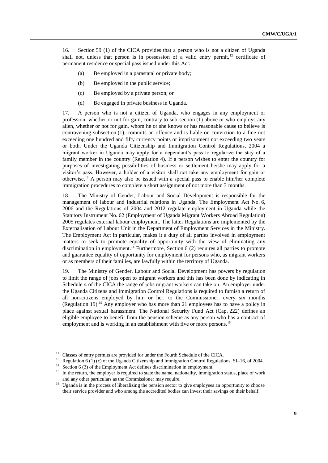16. Section 59 (1) of the CICA provides that a person who is not a citizen of Uganda shall not, unless that person is in possession of a valid entry permit,<sup>12</sup> certificate of permanent residence or special pass issued under this Act:

- (a) Be employed in a parastatal or private body;
- (b) Be employed in the public service;
- (c) Be employed by a private person; or
- (d) Be engaged in private business in Uganda.

17. A person who is not a citizen of Uganda, who engages in any employment or profession, whether or not for gain, contrary to sub-section (1) above or who employs any alien, whether or not for gain, whom he or she knows or has reasonable cause to believe is contravening subsection (1), commits an offence and is liable on conviction to a fine not exceeding one hundred and fifty currency points or imprisonment not exceeding two years or both. Under the Uganda Citizenship and Immigration Control Regulations, 2004 a migrant worker in Uganda may apply for a dependant's pass to regularize the stay of a family member in the country (Regulation 4). If a person wishes to enter the country for purposes of investigating possibilities of business or settlement he/she may apply for a visitor's pass. However, a holder of a visitor shall not take any employment for gain or otherwise. <sup>13</sup> A person may also be issued with a special pass to enable him/her complete immigration procedures to complete a short assignment of not more than 3 months.

18. The Ministry of Gender, Labour and Social Development is responsible for the management of labour and industrial relations in Uganda. The Employment Act No. 6, 2006 and the Regulations of 2004 and 2012 regulate employment in Uganda while the Statutory Instrument No. 62 (Employment of Uganda Migrant Workers Abroad Regulation) 2005 regulates external labour employment. The latter Regulations are implemented by the Externalisation of Labour Unit in the Department of Employment Services in the Ministry. The Employment Act in particular, makes it a duty of all parties involved in employment matters to seek to promote equality of opportunity with the view of eliminating any discrimination in employment.<sup>14</sup> Furthermore, Section 6 (2) requires all parties to promote and guarantee equality of opportunity for employment for persons who, as migrant workers or as members of their families, are lawfully within the territory of Uganda.

19. The Ministry of Gender, Labour and Social Development has powers by regulation to limit the range of jobs open to migrant workers and this has been done by indicating in Schedule 4 of the CICA the range of jobs migrant workers can take on. An employer under the Uganda Citizens and Immigration Control Regulations is required to furnish a return of all non-citizens employed by him or her, to the Commissioner, every six months (Regulation 19).<sup>15</sup> Any employer who has more than 21 employees has to have a policy in place against sexual harassment. The National Security Fund Act (Cap. 222) defines an eligible employee to benefit from the pension scheme as any person who has a contract of employment and is working in an establishment with five or more persons.<sup>16</sup>

<sup>&</sup>lt;sup>12</sup> Classes of entry permits are provided for under the Fourth Schedule of the CICA.

<sup>&</sup>lt;sup>13</sup> Regulation 6 (1) (c) of the Uganda Citizenship and Immigration Control Regulations, SI-16, of 2004.

<sup>&</sup>lt;sup>14</sup> Section 6 (3) of the Employment Act defines discrimination in employment.

<sup>&</sup>lt;sup>15</sup> In the return, the employer is required to state the name, nationality, immigration status, place of work and any other particulars as the Commissioner may require.

<sup>&</sup>lt;sup>16</sup> Uganda is in the process of liberalizing the pension sector to give employees an opportunity to choose their service provider and who among the accredited bodies can invest their savings on their behalf.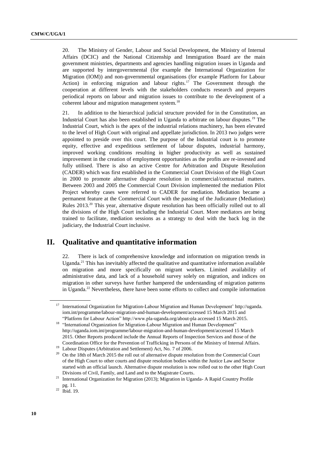20. The Ministry of Gender, Labour and Social Development, the Ministry of Internal Affairs (DCIC) and the National Citizenship and Immigration Board are the main government ministries, departments and agencies handling migration issues in Uganda and are supported by intergovernmental (for example the International Organization for Migration (IOM)) and non-governmental organisations (for example Platform for Labour Action) in enforcing migration and labour rights.<sup>17</sup> The Government through the cooperation at different levels with the stakeholders conducts research and prepares periodical reports on labour and migration issues to contribute to the development of a coherent labour and migration management system.<sup>18</sup>

21. In addition to the hierarchical judicial structure provided for in the Constitution, an Industrial Court has also been established in Uganda to arbitrate on labour disputes.<sup>19</sup> The Industrial Court, which is the apex of the industrial relations machinery, has been elevated to the level of High Court with original and appellate jurisdiction. In 2013 two judges were appointed to preside over this court. The purpose of the Industrial court is to promote equity, effective and expeditious settlement of labour disputes, industrial harmony, improved working conditions resulting in higher productivity as well as sustained improvement in the creation of employment opportunities as the profits are re-invested and fully utilised. There is also an active Centre for Arbitration and Dispute Resolution (CADER) which was first established in the Commercial Court Division of the High Court in 2000 to promote alternative dispute resolution in commercial/contractual matters. Between 2003 and 2005 the Commercial Court Division implemented the mediation Pilot Project whereby cases were referred to CADER for mediation. Mediation became a permanent feature at the Commercial Court with the passing of the Judicature (Mediation) Rules 2013.<sup>20</sup> This year, alternative dispute resolution has been officially rolled out to all the divisions of the High Court including the Industrial Court. More mediators are being trained to facilitate, mediation sessions as a strategy to deal with the back log in the judiciary, the Industrial Court inclusive.

## **II. Qualitative and quantitative information**

There is lack of comprehensive knowledge and information on migration trends in Uganda.<sup>21</sup> This has inevitably affected the qualitative and quantitative information available on migration and more specifically on migrant workers. Limited availability of administrative data, and lack of a household survey solely on migration, and indices on migration in other surveys have further hampered the understanding of migration patterns in Uganda.<sup>22</sup> Nevertheless, there have been some efforts to collect and compile information

<sup>&</sup>lt;sup>17</sup> International Organization for Migration-Labour Migration and Human Development' [http://uganda.](http://uganda/) iom.int/programme/labour-migration-and-human-development/accessed 15 March 2015 and "Platform for Labour Action" http://www.pla-uganda.org/about-pla accessed 15 March 2015.

<sup>&</sup>lt;sup>18</sup> "International Organization for Migration-Labour Migration and Human Development" http://uganda.iom.int/programme/labour-migration-and-human-development/accessed 15 March 2015. Other Reports produced include the Annual Reports of Inspection Services and those of the Coordination Office for the Prevention of Trafficking in Persons of the Ministry of Internal Affairs.

<sup>&</sup>lt;sup>19</sup> Labour Disputes (Arbitration and Settlement) Act, No. 7 of 2006.

<sup>&</sup>lt;sup>20</sup> On the 18th of March 2015 the roll out of alternative dispute resolution from the Commercial Court of the High Court to other courts and dispute resolution bodies within the Justice Law and Sector started with an official launch. Alternative dispute resolution is now rolled out to the other High Court Divisions of Civil, Family, and Land and to the Magistrate Courts.

<sup>&</sup>lt;sup>21</sup> International Organization for Migration (2013); Migration in Uganda- A Rapid Country Profile pg. 11.

 $22$  Ibid. 19.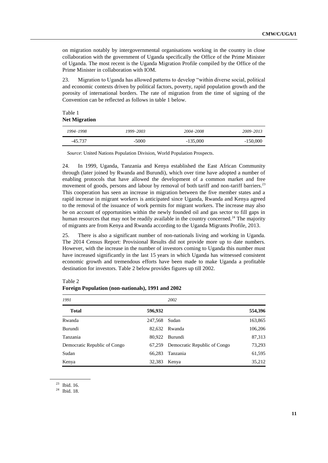on migration notably by intergovernmental organisations working in the country in close collaboration with the government of Uganda specifically the Office of the Prime Minister of Uganda. The most recent is the Uganda Migration Profile compiled by the Office of the Prime Minister in collaboration with IOM.

23. Migration to Uganda has allowed patterns to develop "within diverse social, political and economic contexts driven by political factors, poverty, rapid population growth and the porosity of international borders. The rate of migration from the time of signing of the Convention can be reflected as follows in table 1 below.

Table 1 **Net Migration**

| 1994-1998 | 1999-2003 | 2004-2008  | 2009-2013  |
|-----------|-----------|------------|------------|
| $-45.737$ | $-5000$   | $-135,000$ | $-150,000$ |

*Source*: United Nations Population Division, World Population Prospects.

24. In 1999, Uganda, Tanzania and Kenya established the East African Community through (later joined by Rwanda and Burundi), which over time have adopted a number of enabling protocols that have allowed the development of a common market and free movement of goods, persons and labour by removal of both tariff and non-tariff barriers.<sup>23</sup> This cooperation has seen an increase in migration between the five member states and a rapid increase in migrant workers is anticipated since Uganda, Rwanda and Kenya agreed to the removal of the issuance of work permits for migrant workers. The increase may also be on account of opportunities within the newly founded oil and gas sector to fill gaps in human resources that may not be readily available in the country concerned.<sup>24</sup> The majority of migrants are from Kenya and Rwanda according to the Uganda Migrants Profile, 2013.

25. There is also a significant number of non-nationals living and working in Uganda. The 2014 Census Report: Provisional Results did not provide more up to date numbers. However, with the increase in the number of investors coming to Uganda this number must have increased significantly in the last 15 years in which Uganda has witnessed consistent economic growth and tremendous efforts have been made to make Uganda a profitable destination for investors. Table 2 below provides figures up till 2002.

| 1991                         |         | 2002                         |         |  |  |
|------------------------------|---------|------------------------------|---------|--|--|
| <b>Total</b>                 | 596,932 |                              | 554,396 |  |  |
| Rwanda                       | 247,568 | Sudan                        | 163,865 |  |  |
| Burundi                      | 82,632  | Rwanda                       | 106,206 |  |  |
| Tanzania                     | 80,922  | Burundi                      | 87,313  |  |  |
| Democratic Republic of Congo | 67,259  | Democratic Republic of Congo | 73,293  |  |  |
| Sudan                        | 66.283  | Tanzania                     | 61,595  |  |  |
| Kenya                        | 32,383  | Kenya                        | 35.212  |  |  |

Table 2 **Foreign Population (non-nationals), 1991 and 2002**

<sup>24</sup> Ibid. 18.

<sup>23</sup> Ibid. 16.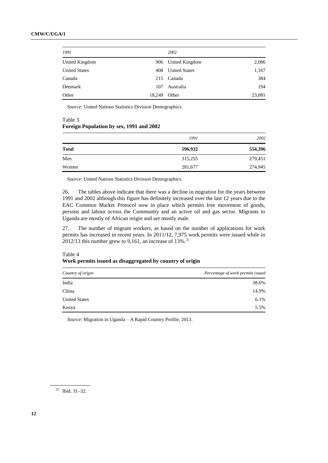| 1991                 |        | 2002                 |        |
|----------------------|--------|----------------------|--------|
| United Kingdom       |        | 906 United Kingdom   | 2,086  |
| <b>United States</b> | 408    | <b>United States</b> | 1,167  |
| Canada               | 215    | Canada               | 384    |
| Denmark              | 107    | Australia            | 194    |
| Other                | 18,249 | Other                | 23,081 |

*Source:* United Nations Statistics Division Demographics.

#### Table 3 **Foreign Population by sex, 1991 and 2002**

|              | 1991    | 2002    |
|--------------|---------|---------|
| <b>Total</b> | 596,932 | 554,396 |
| Men          | 315,255 | 279,451 |
| Women        | 281,677 | 274,945 |

*Source*: United Nations Statistics Division Demographics.

26. The tables above indicate that there was a decline in migration for the years between 1991 and 2002 although this figure has definitely increased over the last 12 years due to the EAC Common Market Protocol now in place which permits free movement of goods, persons and labour across the Community and an active oil and gas sector. Migrants to Uganda are mostly of African origin and are mostly male.

27. The number of migrant workers, as based on the number of applications for work permits has increased in recent years. In 2011/12, 7,975 work permits were issued while in 2012/13 this number grew to 9,161, an increase of  $13\%$ .<sup>25</sup>

Table 4 **Work permits issued as disaggregated by country of origin**

| Country of origin    | Percentage of work permits issued |
|----------------------|-----------------------------------|
| India                | 38.6%                             |
| China                | 14.9%                             |
| <b>United States</b> | 6.1%                              |
| Kenya                | 5.5%                              |

*Source*: Migration in Uganda – A Rapid Country Profile, 2013.

<sup>25</sup> Ibid. 31–32.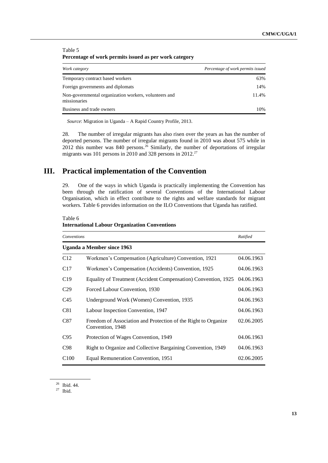| $\sim$ we consider the state position of the contract of positive converges $\mu$ |                                   |  |  |  |  |
|-----------------------------------------------------------------------------------|-----------------------------------|--|--|--|--|
| Work category                                                                     | Percentage of work permits issued |  |  |  |  |
| Temporary contract based workers                                                  | 63%                               |  |  |  |  |
| Foreign governments and diplomats                                                 | 14%                               |  |  |  |  |
| Non-governmental organization workers, volunteers and<br>missionaries             | 11.4%                             |  |  |  |  |
| Business and trade owners                                                         | 10%                               |  |  |  |  |
|                                                                                   |                                   |  |  |  |  |

Table 5 **Percentage of work permits issued as per work category**

*Source*: Migration in Uganda – A Rapid Country Profile, 2013.

28. The number of irregular migrants has also risen over the years as has the number of deported persons. The number of irregular migrants found in 2010 was about 575 while in 2012 this number was  $840$  persons.<sup>26</sup> Similarly, the number of deportations of irregular migrants was 101 persons in 2010 and 328 persons in  $2012$ .<sup>27</sup>

## **III. Practical implementation of the Convention**

29. One of the ways in which Uganda is practically implementing the Convention has been through the ratification of several Conventions of the International Labour Organisation, which in effect contribute to the rights and welfare standards for migrant workers. Table 6 provides information on the ILO Conventions that Uganda has ratified.

Table 6

#### **International Labour Organization Conventions**

|                  | Conventions                                                                        |            |  |
|------------------|------------------------------------------------------------------------------------|------------|--|
|                  | Uganda a Member since 1963                                                         |            |  |
| C12              | Workmen's Compensation (Agriculture) Convention, 1921                              | 04.06.1963 |  |
| C17              | Workmen's Compensation (Accidents) Convention, 1925                                | 04.06.1963 |  |
| C19              | Equality of Treatment (Accident Compensation) Convention, 1925                     | 04.06.1963 |  |
| C <sub>29</sub>  | Forced Labour Convention, 1930                                                     | 04.06.1963 |  |
| C <sub>45</sub>  | Underground Work (Women) Convention, 1935                                          | 04.06.1963 |  |
| C81              | Labour Inspection Convention, 1947                                                 | 04.06.1963 |  |
| C87              | Freedom of Association and Protection of the Right to Organize<br>Convention, 1948 | 02.06.2005 |  |
| C95              | Protection of Wages Convention, 1949                                               | 04.06.1963 |  |
| C <sub>98</sub>  | Right to Organize and Collective Bargaining Convention, 1949                       | 04.06.1963 |  |
| C <sub>100</sub> | Equal Remuneration Convention, 1951                                                | 02.06.2005 |  |

<sup>26</sup> Ibid. 44.

 $27$  Ibid.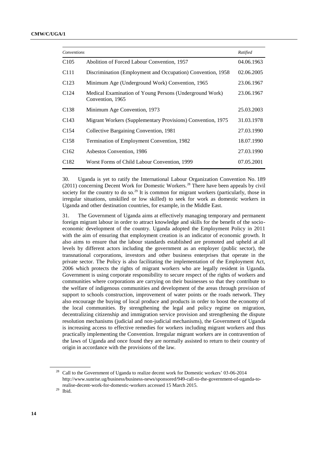| Conventions      |                                                                             | Ratified   |
|------------------|-----------------------------------------------------------------------------|------------|
| C <sub>105</sub> | Abolition of Forced Labour Convention, 1957                                 | 04.06.1963 |
| C <sub>111</sub> | Discrimination (Employment and Occupation) Convention, 1958                 | 02.06.2005 |
| C <sub>123</sub> | Minimum Age (Underground Work) Convention, 1965                             | 23.06.1967 |
| C <sub>124</sub> | Medical Examination of Young Persons (Underground Work)<br>Convention, 1965 | 23.06.1967 |
| C <sub>138</sub> | Minimum Age Convention, 1973                                                | 25.03.2003 |
| C <sub>143</sub> | Migrant Workers (Supplementary Provisions) Convention, 1975                 | 31.03.1978 |
| C <sub>154</sub> | Collective Bargaining Convention, 1981                                      | 27.03.1990 |
| C <sub>158</sub> | Termination of Employment Convention, 1982                                  | 18.07.1990 |
| C <sub>162</sub> | Asbestos Convention, 1986                                                   | 27.03.1990 |
| C <sub>182</sub> | Worst Forms of Child Labour Convention, 1999                                | 07.05.2001 |
|                  |                                                                             |            |

30. Uganda is yet to ratify the International Labour Organization Convention No. 189  $(2011)$  concerning Decent Work for Domestic Workers.<sup>28</sup> There have been appeals by civil society for the country to do so.<sup>29</sup> It is common for migrant workers (particularly, those in irregular situations, unskilled or low skilled) to seek for work as domestic workers in Uganda and other destination countries, for example, in the Middle East.

31. The Government of Uganda aims at effectively managing temporary and permanent foreign migrant labour in order to attract knowledge and skills for the benefit of the socioeconomic development of the country. Uganda adopted the Employment Policy in 2011 with the aim of ensuring that employment creation is an indicator of economic growth. It also aims to ensure that the labour standards established are promoted and upheld at all levels by different actors including the government as an employer (public sector), the transnational corporations, investors and other business enterprises that operate in the private sector. The Policy is also facilitating the implementation of the Employment Act, 2006 which protects the rights of migrant workers who are legally resident in Uganda. Government is using corporate responsibility to secure respect of the rights of workers and communities where corporations are carrying on their businesses so that they contribute to the welfare of indigenous communities and development of the areas through provision of support to schools construction, improvement of water points or the roads network. They also encourage the buying of local produce and products in order to boost the economy of the local communities. By strengthening the legal and policy regime on migration, decentralizing citizenship and immigration service provision and strengthening the dispute resolution mechanisms (judicial and non-judicial mechanisms), the Government of Uganda is increasing access to effective remedies for workers including migrant workers and thus practically implementing the Convention. Irregular migrant workers are in contravention of the laws of Uganda and once found they are normally assisted to return to their country of origin in accordance with the provisions of the law.

<sup>&</sup>lt;sup>28</sup> Call to the Government of Uganda to realize decent work for Domestic workers' 03-06-2014 http://www.sunrise.ug/business/business-news/sponsored/949-call-to-the-government-of-uganda-torealise-decent-work-for-domestic-workers accessed 15 March 2015.

<sup>29</sup> Ibid.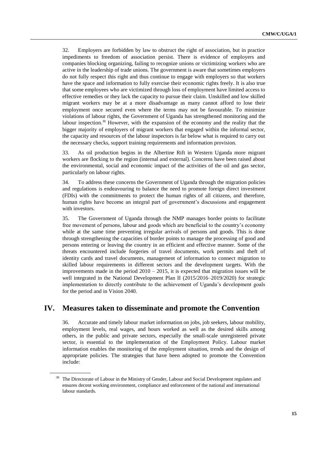32. Employers are forbidden by law to obstruct the right of association, but in practice impediments to freedom of association persist. There is evidence of employers and companies blocking organizing, failing to recognize unions or victimizing workers who are active in the leadership of trade unions. The government is aware that sometimes employers do not fully respect this right and thus continue to engage with employers so that workers have the space and information to fully exercise their economic rights freely. It is also true that some employees who are victimized through loss of employment have limited access to effective remedies or they lack the capacity to pursue their claim. Unskilled and low skilled migrant workers may be at a more disadvantage as many cannot afford to lose their employment once secured even where the terms may not be favourable. To minimize violations of labour rights, the Government of Uganda has strengthened monitoring and the labour inspection. $30$  However, with the expansion of the economy and the reality that the bigger majority of employers of migrant workers that engaged within the informal sector, the capacity and resources of the labour inspectors is far below what is required to carry out the necessary checks, support training requirements and information provision.

33. As oil production begins in the Albertine Rift in Western Uganda more migrant workers are flocking to the region (internal and external). Concerns have been raised about the environmental, social and economic impact of the activities of the oil and gas sector, particularly on labour rights.

34. To address these concerns the Government of Uganda through the migration policies and regulations is endeavouring to balance the need to promote foreign direct investment (FDIs) with the commitments to protect the human rights of all citizens, and therefore, human rights have become an integral part of government's discussions and engagement with investors.

35. The Government of Uganda through the NMP manages border points to facilitate free movement of persons, labour and goods which are beneficial to the country's economy while at the same time preventing irregular arrivals of persons and goods. This is done through strengthening the capacities of border points to manage the processing of good and persons entering or leaving the country in an efficient and effective manner. Some of the threats encountered include forgeries of travel documents, work permits and theft of identity cards and travel documents, management of information to connect migration to skilled labour requirements in different sectors and the development targets. With the improvements made in the period  $2010 - 2015$ , it is expected that migration issues will be well integrated in the National Development Plan II (2015/2016–2019/2020) for strategic implementation to directly contribute to the achievement of Uganda's development goals for the period and in Vision 2040.

## **IV. Measures taken to disseminate and promote the Convention**

36. Accurate and timely labour market information on jobs, job seekers, labour mobility, employment levels, real wages, and hours worked as well as the desired skills among others, in the public and private sectors, especially the small-scale unregistered private sector, is essential to the implementation of the Employment Policy. Labour market information enables the monitoring of the employment situation, trends and the design of appropriate policies. The strategies that have been adopted to promote the Convention include:

The Directorate of Labour in the Ministry of Gender, Labour and Social Development regulates and ensures decent working environment, compliance and enforcement of the national and international labour standards.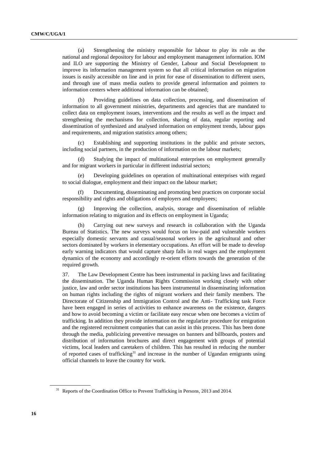(a) Strengthening the ministry responsible for labour to play its role as the national and regional depository for labour and employment management information. IOM and ILO are supporting the Ministry of Gender, Labour and Social Development to improve its information management system so that all critical information on migration issues is easily accessible on line and in print for ease of dissemination to different users, and through use of mass media outlets to provide general information and pointers to information centers where additional information can be obtained;

(b) Providing guidelines on data collection, processing, and dissemination of information to all government ministries, departments and agencies that are mandated to collect data on employment issues, interventions and the results as well as the impact and strengthening the mechanisms for collection, sharing of data, regular reporting and dissemination of synthesized and analysed information on employment trends, labour gaps and requirements, and migration statistics among others;

(c) Establishing and supporting institutions in the public and private sectors, including social partners, in the production of information on the labour markets;

Studying the impact of multinational enterprises on employment generally and for migrant workers in particular in different industrial sectors;

(e) Developing guidelines on operation of multinational enterprises with regard to social dialogue, employment and their impact on the labour market;

(f) Documenting, disseminating and promoting best practices on corporate social responsibility and rights and obligations of employers and employees;

(g) Improving the collection, analysis, storage and dissemination of reliable information relating to migration and its effects on employment in Uganda;

(h) Carrying out new surveys and research in collaboration with the Uganda Bureau of Statistics. The new surveys would focus on low-paid and vulnerable workers especially domestic servants and casual/seasonal workers in the agricultural and other sectors dominated by workers in elementary occupations. An effort will be made to develop early warning indicators that would capture sharp falls in real wages and the employment dynamics of the economy and accordingly re-orient efforts towards the generation of the required growth.

37. The Law Development Centre has been instrumental in packing laws and facilitating the dissemination. The Uganda Human Rights Commission working closely with other justice, law and order sector institutions has been instrumental in disseminating information on human rights including the rights of migrant workers and their family members. The Directorate of Citizenship and Immigration Control and the Anti- Trafficking task Force have been engaged in series of activities to enhance awareness on the existence, dangers and how to avoid becoming a victim or facilitate easy rescue when one becomes a victim of trafficking. In addition they provide information on the regularize procedure for emigration and the registered recruitment companies that can assist in this process. This has been done through the media, publicizing preventive messages on banners and billboards, posters and distribution of information brochures and direct engagement with groups of potential victims, local leaders and caretakers of children. This has resulted in reducing the number of reported cases of trafficking<sup>31</sup> and increase in the number of Ugandan emigrants using official channels to leave the country for work.

<sup>&</sup>lt;sup>31</sup> Reports of the Coordination Office to Prevent Trafficking in Persons, 2013 and 2014.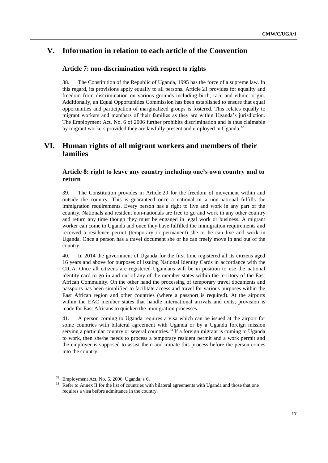# **V. Information in relation to each article of the Convention**

#### **Article 7: non-discrimination with respect to rights**

38. The Constitution of the Republic of Uganda, 1995 has the force of a supreme law. In this regard, its provisions apply equally to all persons. Article 21 provides for equality and freedom from discrimination on various grounds including birth, race and ethnic origin. Additionally, an Equal Opportunities Commission has been established to ensure that equal opportunities and participation of marginalized groups is fostered. This relates equally to migrant workers and members of their families as they are within Uganda's jurisdiction. The Employment Act, No. 6 of 2006 further prohibits discrimination and is thus claimable by migrant workers provided they are lawfully present and employed in Uganda.<sup>32</sup>

## **VI. Human rights of all migrant workers and members of their families**

## **Article 8: right to leave any country including one's own country and to return**

39. The Constitution provides in Article 29 for the freedom of movement within and outside the country. This is guaranteed once a national or a non-national fulfills the immigration requirements. Every person has a right to live and work in any part of the country. Nationals and resident non-nationals are free to go and work in any other country and return any time though they must be engaged in legal work or business. A migrant worker can come to Uganda and once they have fulfilled the immigration requirements and received a residence permit (temporary or permanent) she or he can live and work in Uganda. Once a person has a travel document she or he can freely move in and out of the country.

40. In 2014 the government of Uganda for the first time registered all its citizens aged 16 years and above for purposes of issuing National Identity Cards in accordance with the CICA. Once all citizens are registered Ugandans will be in position to use the national identity card to go in and out of any of the member states within the territory of the East African Community. On the other hand the processing of temporary travel documents and passports has been simplified to facilitate access and travel for various purposes within the East African region and other countries (where a passport is required). At the airports within the EAC member states that handle international arrivals and exits, provision is made for East Africans to quicken the immigration processes.

41. A person coming to Uganda requires a visa which can be issued at the airport for some countries with bilateral agreement with Uganda or by a Uganda foreign mission serving a particular country or several countries.<sup>33</sup> If a foreign migrant is coming to Uganda to work, then she/he needs to process a temporary resident permit and a work permit and the employer is supposed to assist them and initiate this process before the person comes into the country.

<sup>32</sup> Employment Act, No. 5, 2006, Uganda, s 6.

<sup>&</sup>lt;sup>33</sup> Refer to Annex II for the list of countries with bilateral agreements with Uganda and those that one requires a visa before admittance in the country.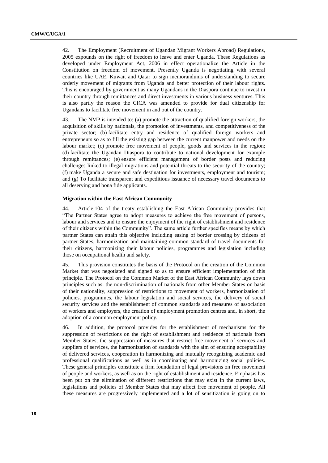42. The Employment (Recruitment of Ugandan Migrant Workers Abroad) Regulations, 2005 expounds on the right of freedom to leave and enter Uganda. These Regulations as developed under Employment Act, 2006 in effect operationalize the Article in the Constitution on freedom of movement. Presently Uganda is negotiating with several countries like UAE, Kuwait and Qatar to sign memorandums of understanding to secure orderly movement of migrants from Uganda and better protection of their labour rights. This is encouraged by government as many Ugandans in the Diaspora continue to invest in their country through remittances and direct investments in various business ventures. This is also partly the reason the CICA was amended to provide for dual citizenship for Ugandans to facilitate free movement in and out of the country.

43. The NMP is intended to: (a) promote the attraction of qualified foreign workers, the acquisition of skills by nationals, the promotion of investments, and competitiveness of the private sector; (b) facilitate entry and residence of qualified foreign workers and entrepreneurs so as to fill the existing gap between the current manpower and needs on the labour market; (c) promote free movement of people, goods and services in the region; (d) facilitate the Ugandan Diaspora to contribute to national development for example through remittances; (e) ensure efficient management of border posts and reducing challenges linked to illegal migrations and potential threats to the security of the country; (f) make Uganda a secure and safe destination for investments, employment and tourism; and (g) To facilitate transparent and expeditious issuance of necessary travel documents to all deserving and bona fide applicants.

#### **Migration within the East African Community**

44. Article 104 of the treaty establishing the East African Community provides that "The Partner States agree to adopt measures to achieve the free movement of persons, labour and services and to ensure the enjoyment of the right of establishment and residence of their citizens within the Community". The same article further specifies means by which partner States can attain this objective including easing of border crossing by citizens of partner States, harmonization and maintaining common standard of travel documents for their citizens, harmonizing their labour policies, programmes and legislation including those on occupational health and safety.

45. This provision constitutes the basis of the Protocol on the creation of the Common Market that was negotiated and signed so as to ensure efficient implementation of this principle. The Protocol on the Common Market of the East African Community lays down principles such as: the non-discrimination of nationals from other Member States on basis of their nationality, suppression of restrictions to movement of workers, harmonization of policies, programmes, the labour legislation and social services, the delivery of social security services and the establishment of common standards and measures of association of workers and employers, the creation of employment promotion centres and, in short, the adoption of a common employment policy.

46. In addition, the protocol provides for the establishment of mechanisms for the suppression of restrictions on the right of establishment and residence of nationals from Member States, the suppression of measures that restrict free movement of services and suppliers of services, the harmonization of standards with the aim of ensuring acceptability of delivered services, cooperation in harmonizing and mutually recognizing academic and professional qualifications as well as in coordinating and harmonizing social policies. These general principles constitute a firm foundation of legal provisions on free movement of people and workers, as well as on the right of establishment and residence. Emphasis has been put on the elimination of different restrictions that may exist in the current laws, legislations and policies of Member States that may affect free movement of people. All these measures are progressively implemented and a lot of sensitization is going on to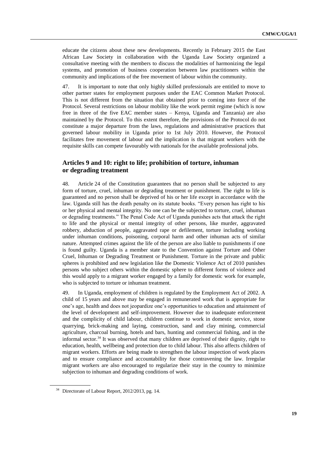educate the citizens about these new developments. Recently in February 2015 the East African Law Society in collaboration with the Uganda Law Society organized a consultative meeting with the members to discuss the modalities of harmonizing the legal systems, and promotion of business cooperation between law practitioners within the community and implications of the free movement of labour within the community.

47. It is important to note that only highly skilled professionals are entitled to move to other partner states for employment purposes under the EAC Common Market Protocol. This is not different from the situation that obtained prior to coming into force of the Protocol. Several restrictions on labour mobility like the work permit regime (which is now free in three of the five EAC member states – Kenya, Uganda and Tanzania) are also maintained by the Protocol. To this extent therefore, the provisions of the Protocol do not constitute a major departure from the laws, regulations and administrative practices that governed labour mobility in Uganda prior to 1st July 2010. However, the Protocol facilitates free movement of labour and the implication is that migrant workers with the requisite skills can compete favourably with nationals for the available professional jobs.

### **Articles 9 and 10: right to life; prohibition of torture, inhuman or degrading treatment**

48. Article 24 of the Constitution guarantees that no person shall be subjected to any form of torture, cruel, inhuman or degrading treatment or punishment. The right to life is guaranteed and no person shall be deprived of his or her life except in accordance with the law. Uganda still has the death penalty on its statute books. "Every person has right to his or her physical and mental integrity. No one can be the subjected to torture, cruel, inhuman or degrading treatments." The Penal Code Act of Uganda punishes acts that attack the right to life and the physical or mental integrity of other persons, like murder, aggravated robbery, abduction of people, aggravated rape or defilement, torture including working under inhuman conditions, poisoning, corporal harm and other inhuman acts of similar nature. Attempted crimes against the life of the person are also liable to punishments if one is found guilty. Uganda is a member state to the Convention against Torture and Other Cruel, Inhuman or Degrading Treatment or Punishment. Torture in the private and public spheres is prohibited and new legislation like the Domestic Violence Act of 2010 punishes persons who subject others within the domestic sphere to different forms of violence and this would apply to a migrant worker engaged by a family for domestic work for example, who is subjected to torture or inhuman treatment.

49. In Uganda, employment of children is regulated by the Employment Act of 2002. A child of 15 years and above may be engaged in remunerated work that is appropriate for one's age, health and does not jeopardize one's opportunities to education and attainment of the level of development and self-improvement. However due to inadequate enforcement and the complicity of child labour, children continue to work in domestic service, stone quarrying, brick-making and laying, construction, sand and clay mining, commercial agriculture, charcoal burning, hotels and bars, hunting and commercial fishing, and in the informal sector.<sup>34</sup> It was observed that many children are deprived of their dignity, right to education, health, wellbeing and protection due to child labour. This also affects children of migrant workers. Efforts are being made to strengthen the labour inspection of work places and to ensure compliance and accountability for those contravening the law. Irregular migrant workers are also encouraged to regularize their stay in the country to minimize subjection to inhuman and degrading conditions of work.

<sup>&</sup>lt;sup>34</sup> Directorate of Labour Report, 2012/2013, pg. 14.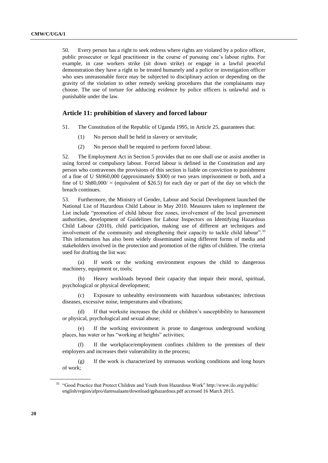50. Every person has a right to seek redress where rights are violated by a police officer, public prosecutor or legal practitioner in the course of pursuing one's labour rights. For example, in case workers strike (sit down strike) or engage in a lawful peaceful demonstration they have a right to be treated humanely and a police or investigation officer who uses unreasonable force may be subjected to disciplinary action or depending on the gravity of the violation to other remedy seeking procedures that the complainants may choose. The use of torture for adducing evidence by police officers is unlawful and is punishable under the law.

#### **Article 11: prohibition of slavery and forced labour**

- 51. The Constitution of the Republic of Uganda 1995, in Article 25, guarantees that:
	- (1) No person shall be held in slavery or servitude;
	- (2) No person shall be required to perform forced labour.

52. The Employment Act in Section 5 provides that no one shall use or assist another in using forced or compulsory labour. Forced labour is defined in the Constitution and any person who contravenes the provisions of this section is liable on conviction to punishment of a fine of U Sh960,000 (approximately \$300) or two years imprisonment or both, and a fine of U Sh80,000/ = (equivalent of \$26.5) for each day or part of the day on which the breach continues.

53. Furthermore, the Ministry of Gender, Labour and Social Development launched the National List of Hazardous Child Labour in May 2010. Measures taken to implement the List include "promotion of child labour free zones, involvement of the local government authorities, development of Guidelines for Labour Inspectors on Identifying Hazardous Child Labour (2010), child participation, making use of different art techniques and involvement of the community and strengthening their capacity to tackle child labour".<sup>35</sup> This information has also been widely disseminated using different forms of media and stakeholders involved in the protection and promotion of the rights of children. The criteria used for drafting the list was:

(a) If work or the working environment exposes the child to dangerous machinery, equipment or, tools;

(b) Heavy workloads beyond their capacity that impair their moral, spiritual, psychological or physical development;

(c) Exposure to unhealthy environments with hazardous substances; infectious diseases, excessive noise, temperatures and vibrations;

(d) If that worksite increases the child or children's susceptibility to harassment or physical, psychological and sexual abuse;

(e) If the working environment is prone to dangerous underground working places, has water or has "working at heights" activities;

(f) If the workplace/employment confines children to the premises of their employers and increases their vulnerability in the process;

(g) If the work is characterized by strenuous working conditions and long hours of work;

<sup>35</sup> "Good Practice that Protect Children and Youth from Hazardous Work" http://www.ilo.org/public/ english/region/afpro/daressalaam/download/gphazardous.pdf accessed 16 March 2015.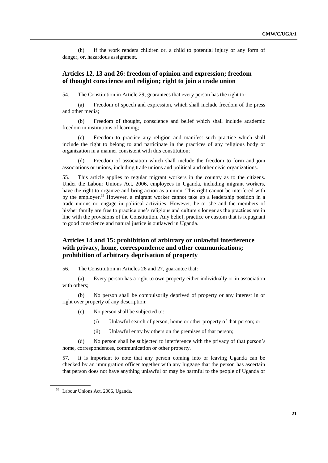(h) If the work renders children or, a child to potential injury or any form of danger, or, hazardous assignment.

### **Articles 12, 13 and 26: freedom of opinion and expression; freedom of thought conscience and religion; right to join a trade union**

54. The Constitution in Article 29, guarantees that every person has the right to:

(a) Freedom of speech and expression, which shall include freedom of the press and other media;

(b) Freedom of thought, conscience and belief which shall include academic freedom in institutions of learning;

(c) Freedom to practice any religion and manifest such practice which shall include the right to belong to and participate in the practices of any religious body or organization in a manner consistent with this constitution;

(d) Freedom of association which shall include the freedom to form and join associations or unions, including trade unions and political and other civic organizations.

55. This article applies to regular migrant workers in the country as to the citizens. Under the Labour Unions Act, 2006, employees in Uganda, including migrant workers, have the right to organize and bring action as a union. This right cannot be interfered with by the employer.<sup>36</sup> However, a migrant worker cannot take up a leadership position in a trade unions no engage in political activities. However, he or she and the members of his/her family are free to practice one's religious and culture s longer as the practices are in line with the provisions of the Constitution. Any belief, practice or custom that is repugnant to good conscience and natural justice is outlawed in Uganda.

## **Articles 14 and 15: prohibition of arbitrary or unlawful interference with privacy, home, correspondence and other communications; prohibition of arbitrary deprivation of property**

56. The Constitution in Articles 26 and 27, guarantee that:

(a) Every person has a right to own property either individually or in association with others;

(b) No person shall be compulsorily deprived of property or any interest in or right over property of any description;

- (c) No person shall be subjected to:
	- (i) Unlawful search of person, home or other property of that person; or
	- (ii) Unlawful entry by others on the premises of that person;

(d) No person shall be subjected to interference with the privacy of that person's home, correspondences, communication or other property.

57. It is important to note that any person coming into or leaving Uganda can be checked by an immigration officer together with any luggage that the person has ascertain that person does not have anything unlawful or may be harmful to the people of Uganda or

<sup>36</sup> Labour Unions Act, 2006, Uganda.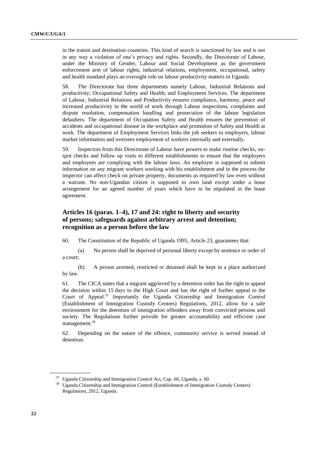in the transit and destination countries. This kind of search is sanctioned by law and is not in any way a violation of one's privacy and rights. Secondly, the Directorate of Labour, under the Ministry of Gender, Labour and Social Development as the government enforcement arm of labour rights, industrial relations, employment, occupational, safety and health standard plays an oversight role on labour productivity matters in Uganda.

58. The Directorate has three departments namely Labour, Industrial Relations and productivity; Occupational Safety and Health; and Employment Services. The department of Labour, Industrial Relations and Productivity ensures compliance, harmony, peace and increased productivity in the world of work through Labour inspections, complaints and dispute resolution, compensation handling and prosecution of the labour legislation defaulters. The department of Occupation Safety and Health ensures the prevention of accidents and occupational disease in the workplace and promotion of Safety and Health at work. The department of Employment Services links the job seekers to employers, labour market information and oversees employment of workers internally and externally.

59. Inspectors from this Directorate of Labour have powers to make routine checks, onspot checks and follow up visits to different establishments to ensure that the employers and employees are complying with the labour laws. An employer is supposed to submit information on any migrant workers working with his establishment and in the process the inspector can affect check on private property, documents as required by law even without a warrant. No non-Ugandan citizen is supposed to own land except under a lease arrangement for an agreed number of years which have to be stipulated in the lease agreement.

## **Articles 16 (paras. 1–4), 17 and 24: right to liberty and security of persons; safeguards against arbitrary arrest and detention; recognition as a person before the law**

60. The Constitution of the Republic of Uganda 1995, Article 23, guarantees that:

(a) No person shall be deprived of personal liberty except by sentence or order of a court;

(b) A person arrested, restricted or detained shall be kept in a place authorized by law.

61. The CICA states that a migrant aggrieved by a detention order has the right to appeal the decision within 15 days to the High Court and has the right of further appeal to the Court of Appeal.<sup>37</sup> Importantly the Uganda Citizenship and Immigration Control (Establishment of Immigration Custody Centres) Regulations, 2012, allow for a safe environment for the detention of immigration offenders away from convicted persons and society. The Regulations further provide for greater accountability and efficient case management.<sup>38</sup>

62. Depending on the nature of the offence, community service is served instead of detention.

<sup>&</sup>lt;sup>37</sup> Uganda Citizenship and Immigration Control Act, Cap. 66, Uganda, s. 60.

<sup>38</sup> Uganda Citizenship and Immigration Control (Establishment of Immigration Custody Centers) Regulations, 2012, Uganda.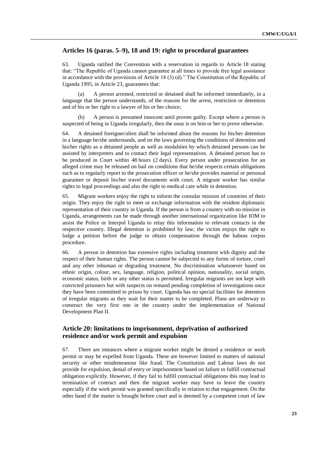## **Articles 16 (paras. 5–9), 18 and 19: right to procedural guarantees**

63. Uganda ratified the Convention with a reservation in regards to Article 18 stating that: "The Republic of Uganda cannot guarantee at all times to provide free legal assistance in accordance with the provisions of Article 18  $(3)$  (d)." The Constitution of the Republic of Uganda 1995, in Article 23, guarantees that:

A person arrested, restricted or detained shall be informed immediately, in a language that the person understands, of the reasons for the arrest, restriction or detention and of his or her right to a lawyer of his or her choice;

(b) A person is presumed innocent until proven guilty. Except where a person is suspected of being in Uganda irregularly, then the onus is on him or her to prove otherwise.

64. A detained foreigner/alien shall be informed about the reasons for his/her detention in a language he/she understands, and on the laws governing the conditions of detention and his/her rights as a detained people as well as modalities by which detained persons can be assisted by interpreters and to contact their legal representatives. A detained person has to be produced in Court within 48 hours (2 days). Every person under prosecution for an alleged crime may be released on bail on conditions that he/she respects certain obligations such as to regularly report to the prosecution officer or he/she provides material or personal guarantee or deposit his/her travel documents with court. A migrant worker has similar rights to legal proceedings and also the right to medical care while in detention.

65. Migrant workers enjoy the right to inform the consular mission of countries of their origin. They enjoy the right to meet or exchange information with the resident diplomatic representation of their country in Uganda. If the person is from a country with no mission in Uganda, arrangements can be made through another international organization like IOM to assist the Police or Interpol Uganda to relay this information to relevant contacts in the respective country. Illegal detention is prohibited by law; the victim enjoys the right to lodge a petition before the judge to obtain compensation through the habeas corpus procedure.

66. A person in detention has extensive rights including treatment with dignity and the respect of their human rights. The person cannot be subjected to any forms of torture, cruel and any other inhuman or degrading treatment. No discrimination whatsoever based on ethnic origin, colour, sex, language, religion, political opinion, nationality, social origin, economic status, birth or any other status is permitted. Irregular migrants are not kept with convicted prisoners but with suspects on remand pending completion of investigations once they have been committed to prison by court. Uganda has no special facilities for detention of irregular migrants as they wait for their matter to be completed. Plans are underway to construct the very first one in the country under the implementation of National Development Plan II.

### **Article 20: limitations to imprisonment, deprivation of authorized residence and/or work permit and expulsion**

67. There are instances where a migrant worker might be denied a residence or work permit or may be expelled from Uganda. These are however limited to matters of national security or other misdemeanour like fraud. The Constitution and Labour laws do not provide for expulsion, denial of entry or imprisonment based on failure to fulfill contractual obligation explicitly. However, if they fail to fulfill contractual obligations this may lead to termination of contract and then the migrant worker may have to leave the country especially if the work permit was granted specifically in relation to that engagement. On the other hand if the matter is brought before court and is deemed by a competent court of law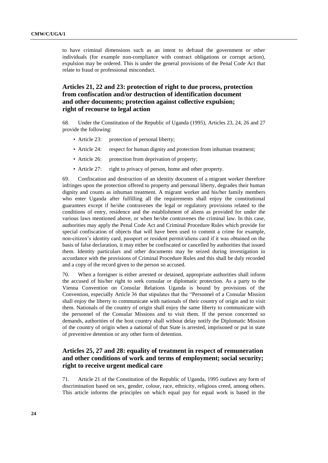to have criminal dimensions such as an intent to defraud the government or other individuals (for example non-compliance with contract obligations or corrupt action), expulsion may be ordered. This is under the general provisions of the Penal Code Act that relate to fraud or professional misconduct.

## **Articles 21, 22 and 23: protection of right to due process, protection from confiscation and/or destruction of identification document and other documents; protection against collective expulsion; right of recourse to legal action**

68. Under the Constitution of the Republic of Uganda (1995), Articles 23, 24, 26 and 27 provide the following:

- Article 23: protection of personal liberty;
- Article 24: respect for human dignity and protection from inhuman treatment:
- Article 26: protection from deprivation of property;
- Article 27: right to privacy of person, home and other property.

69. Confiscation and destruction of an identity document of a migrant worker therefore infringes upon the protection offered to property and personal liberty, degrades their human dignity and counts as inhuman treatment. A migrant worker and his/her family members who enter Uganda after fulfilling all the requirements shall enjoy the constitutional guarantees except if he/she contravenes the legal or regulatory provisions related to the conditions of entry, residence and the establishment of aliens as provided for under the various laws mentioned above, or when he/she contravenes the criminal law. In this case, authorities may apply the Penal Code Act and Criminal Procedure Rules which provide for special confiscation of objects that will have been used to commit a crime for example, non-citizen's identity card, passport or resident permit/aliens card if it was obtained on the basis of false declaration, it may either be confiscated or cancelled by authorities that issued them. Identity particulars and other documents may be seized during investigation in accordance with the provisions of Criminal Procedure Rules and this shall be duly recorded and a copy of the record given to the person so accused.

70. When a foreigner is either arrested or detained, appropriate authorities shall inform the accused of his/her right to seek consular or diplomatic protection. As a party to the Vienna Convention on Consular Relations Uganda is bound by provisions of the Convention, especially Article 36 that stipulates that the "Personnel of a Consular Mission shall enjoy the liberty to communicate with nationals of their country of origin and to visit them. Nationals of the country of origin shall enjoy the same liberty to communicate with the personnel of the Consular Missions and to visit them. If the person concerned so demands, authorities of the host country shall without delay notify the Diplomatic Mission of the country of origin when a national of that State is arrested, imprisoned or put in state of preventive detention or any other form of detention.

## **Articles 25, 27 and 28: equality of treatment in respect of remuneration and other conditions of work and terms of employment; social security; right to receive urgent medical care**

71. Article 21 of the Constitution of the Republic of Uganda, 1995 outlaws any form of discrimination based on sex, gender, colour, race, ethnicity, religious creed, among others. This article informs the principles on which equal pay for equal work is based in the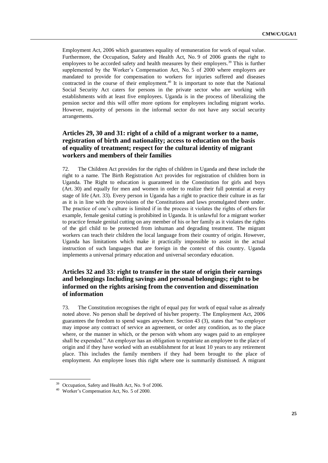Employment Act, 2006 which guarantees equality of remuneration for work of equal value. Furthermore, the Occupation, Safety and Health Act, No. 9 of 2006 grants the right to employees to be accorded safety and health measures by their employers.<sup>39</sup> This is further supplemented by the Worker's Compensation Act, No. 5 of 2000 where employers are mandated to provide for compensation to workers for injuries suffered and diseases contracted in the course of their employment.<sup>40</sup> It is important to note that the National Social Security Act caters for persons in the private sector who are working with establishments with at least five employees. Uganda is in the process of liberalizing the pension sector and this will offer more options for employees including migrant works. However, majority of persons in the informal sector do not have any social security arrangements.

## **Articles 29, 30 and 31: right of a child of a migrant worker to a name, registration of birth and nationality; access to education on the basis of equality of treatment; respect for the cultural identity of migrant workers and members of their families**

72. The Children Act provides for the rights of children in Uganda and these include the right to a name. The Birth Registration Act provides for registration of children born in Uganda. The Right to education is guaranteed in the Constitution for girls and boys (Art. 30) and equally for men and women in order to realize their full potential at every stage of life (Art. 33). Every person in Uganda has a right to practice their culture in as far as it is in line with the provisions of the Constitutions and laws promulgated there under. The practice of one's culture is limited if in the process it violates the rights of others for example, female genital cutting is prohibited in Uganda. It is unlawful for a migrant worker to practice female genital cutting on any member of his or her family as it violates the rights of the girl child to be protected from inhuman and degrading treatment. The migrant workers can teach their children the local language from their country of origin. However, Uganda has limitations which make it practically impossible to assist in the actual instruction of such languages that are foreign in the context of this country. Uganda implements a universal primary education and universal secondary education.

## **Articles 32 and 33: right to transfer in the state of origin their earnings and belongings Including savings and personal belongings; right to be informed on the rights arising from the convention and dissemination of information**

73. The Constitution recognises the right of equal pay for work of equal value as already noted above. No person shall be deprived of his/her property. The Employment Act, 2006 guarantees the freedom to spend wages anywhere. Section 43 (3), states that "no employer may impose any contract of service an agreement, or order any condition, as to the place where, or the manner in which, or the person with whom any wages paid to an employee shall be expended." An employer has an obligation to repatriate an employee to the place of origin and if they have worked with an establishment for at least 10 years to any retirement place. This includes the family members if they had been brought to the place of employment. An employee loses this right where one is summarily dismissed. A migrant

<sup>&</sup>lt;sup>39</sup> Occupation, Safety and Health Act, No. 9 of 2006.

<sup>40</sup> Worker's Compensation Act, No. 5 of 2000.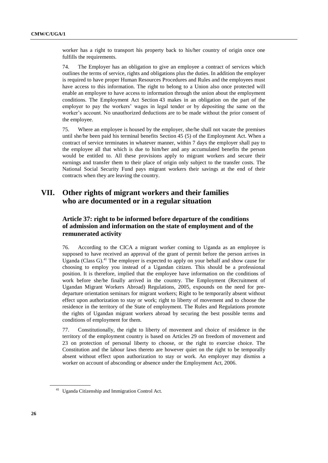worker has a right to transport his property back to his/her country of origin once one fulfills the requirements.

74. The Employer has an obligation to give an employee a contract of services which outlines the terms of service, rights and obligations plus the duties. In addition the employer is required to have proper Human Resources Procedures and Rules and the employees must have access to this information. The right to belong to a Union also once protected will enable an employee to have access to information through the union about the employment conditions. The Employment Act Section 43 makes in an obligation on the part of the employer to pay the workers' wages in legal tender or by depositing the same on the worker's account. No unauthorized deductions are to be made without the prior consent of the employee.

75. Where an employee is housed by the employer, she/he shall not vacate the premises until she/he been paid his terminal benefits Section 45 (5) of the Employment Act. When a contract of service terminates in whatever manner, within 7 days the employer shall pay to the employee all that which is due to him/her and any accumulated benefits the person would be entitled to. All these provisions apply to migrant workers and secure their earnings and transfer them to their place of origin only subject to the transfer costs. The National Social Security Fund pays migrant workers their savings at the end of their contracts when they are leaving the country.

# **VII. Other rights of migrant workers and their families who are documented or in a regular situation**

## **Article 37: right to be informed before departure of the conditions of admission and information on the state of employment and of the remunerated activity**

76. According to the CICA a migrant worker coming to Uganda as an employee is supposed to have received an approval of the grant of permit before the person arrives in Uganda (Class G). $41$  The employer is expected to apply on your behalf and show cause for choosing to employ you instead of a Ugandan citizen. This should be a professional position. It is therefore, implied that the employee have information on the conditions of work before she/he finally arrived in the country. The Employment (Recruitment of Ugandan Migrant Workers Abroad) Regulations, 2005, expounds on the need for predeparture orientation seminars for migrant workers; Right to be temporarily absent without effect upon authorization to stay or work; right to liberty of movement and to choose the residence in the territory of the State of employment. The Rules and Regulations promote the rights of Ugandan migrant workers abroad by securing the best possible terms and conditions of employment for them.

77. Constitutionally, the right to liberty of movement and choice of residence in the territory of the employment country is based on Articles 29 on freedom of movement and 23 on protection of personal liberty to choose, or the right to exercise choice. The Constitution and the labour laws thereto are however quiet on the right to be temporally absent without effect upon authorization to stay or work. An employer may dismiss a worker on account of absconding or absence under the Employment Act, 2006.

<sup>41</sup> Uganda Citizenship and Immigration Control Act.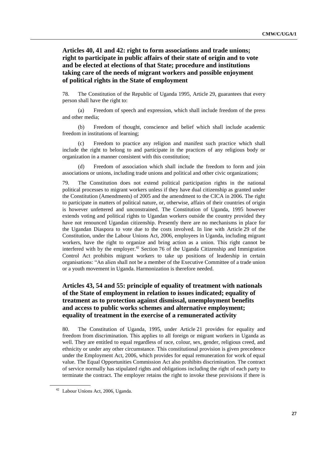**Articles 40, 41 and 42: right to form associations and trade unions; right to participate in public affairs of their state of origin and to vote and be elected at elections of that State; procedure and institutions taking care of the needs of migrant workers and possible enjoyment of political rights in the State of employment**

78. The Constitution of the Republic of Uganda 1995, Article 29, guarantees that every person shall have the right to:

(a) Freedom of speech and expression, which shall include freedom of the press and other media;

(b) Freedom of thought, conscience and belief which shall include academic freedom in institutions of learning;

(c) Freedom to practice any religion and manifest such practice which shall include the right to belong to and participate in the practices of any religious body or organization in a manner consistent with this constitution;

(d) Freedom of association which shall include the freedom to form and join associations or unions, including trade unions and political and other civic organizations;

79. The Constitution does not extend political participation rights in the national political processes to migrant workers unless if they have dual citizenship as granted under the Constitution (Amendments) of 2005 and the amendment to the CICA in 2006. The right to participate in matters of political nature, or, otherwise, affairs of their countries of origin is however unfettered and unconstrained. The Constitution of Uganda, 1995 however extends voting and political rights to Ugandan workers outside the country provided they have not renounced Ugandan citizenship. Presently there are no mechanisms in place for the Ugandan Diaspora to vote due to the costs involved. In line with Article 29 of the Constitution, under the Labour Unions Act, 2006, employees in Uganda, including migrant workers, have the right to organize and bring action as a union. This right cannot be interfered with by the employer.<sup>42</sup> Section 76 of the Uganda Citizenship and Immigration Control Act prohibits migrant workers to take up positions of leadership in certain organisations: "An alien shall not be a member of the Executive Committee of a trade union or a youth movement in Uganda. Harmonization is therefore needed.

## **Articles 43, 54 and 55: principle of equality of treatment with nationals of the State of employment in relation to issues indicated; equality of treatment as to protection against dismissal, unemployment benefits and access to public works schemes and alternative employment; equality of treatment in the exercise of a remunerated activity**

80. The Constitution of Uganda, 1995, under Article 21 provides for equality and freedom from discrimination. This applies to all foreign or migrant workers in Uganda as well. They are entitled to equal regardless of race, colour, sex, gender, religious creed, and ethnicity or under any other circumstance. This constitutional provision is given precedence under the Employment Act, 2006, which provides for equal remuneration for work of equal value. The Equal Opportunities Commission Act also prohibits discrimination. The contract of service normally has stipulated rights and obligations including the right of each party to terminate the contract. The employer retains the right to invoke these provisions if there is

<sup>42</sup> Labour Unions Act, 2006, Uganda.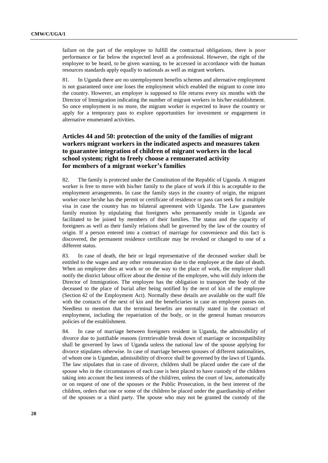failure on the part of the employee to fulfill the contractual obligations, there is poor performance or far below the expected level as a professional. However, the right of the employee to be heard, to be given warning, to be accessed in accordance with the human resources standards apply equally to nationals as well as migrant workers.

81. In Uganda there are no unemployment benefits schemes and alternative employment is not guaranteed once one loses the employment which enabled the migrant to come into the country. However, an employer is supposed to file returns every six months with the Director of Immigration indicating the number of migrant workers in his/her establishment. So once employment is no more, the migrant worker is expected to leave the country or apply for a temporary pass to explore opportunities for investment or engagement in alternative enumerated activities.

## **Articles 44 and 50: protection of the unity of the families of migrant workers migrant workers in the indicated aspects and measures taken to guarantee integration of children of migrant workers in the local school system; right to freely choose a remunerated activity for members of a migrant worker's families**

82. The family is protected under the Constitution of the Republic of Uganda. A migrant worker is free to move with his/her family to the place of work if this is acceptable to the employment arrangements. In case the family stays in the country of origin, the migrant worker once he/she has the permit or certificate of residence or pass can seek for a multiple visa in case the country has no bilateral agreement with Uganda. The Law guarantees family reunion by stipulating that foreigners who permanently reside in Uganda are facilitated to be joined by members of their families. The status and the capacity of foreigners as well as their family relations shall be governed by the law of the country of origin. If a person entered into a contract of marriage for convenience and this fact is discovered, the permanent residence certificate may be revoked or changed to one of a different status.

83. In case of death, the heir or legal representative of the deceased worker shall be entitled to the wages and any other remuneration due to the employee at the date of death. When an employee dies at work or on the way to the place of work, the employer shall notify the district labour officer about the demise of the employee, who will duly inform the Director of Immigration. The employee has the obligation to transport the body of the deceased to the place of burial after being notified by the next of kin of the employee (Section 42 of the Employment Act). Normally these details are available on the staff file with the contacts of the next of kin and the beneficiaries in case an employee passes on. Needless to mention that the terminal benefits are normally stated in the contract of employment, including the repatriation of the body, or in the general human resources policies of the establishment.

84. In case of marriage between foreigners resident in Uganda, the admissibility of divorce due to justifiable reasons (irretrievable break down of marriage or incompatibility shall be governed by laws of Uganda unless the national law of the spouse applying for divorce stipulates otherwise. In case of marriage between spouses of different nationalities, of whom one is Ugandan, admissibility of divorce shall be governed by the laws of Uganda. The law stipulates that in case of divorce, children shall be placed under the care of the spouse who in the circumstances of each case is best placed to have custody of the children taking into account the best interests of the child/ren, unless the court of law, automatically or on request of one of the spouses or the Public Prosecution, in the best interest of the children, orders that one or some of the children be placed under the guardianship of either of the spouses or a third party. The spouse who may not be granted the custody of the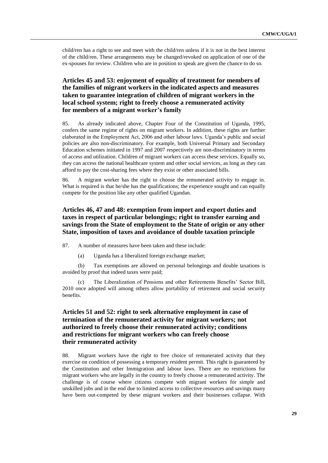child/ren has a right to see and meet with the child/ren unless if it is not in the best interest of the child/ren. These arrangements may be changed/revoked on application of one of the ex-spouses for review. Children who are in position to speak are given the chance to do so.

## **Articles 45 and 53: enjoyment of equality of treatment for members of the families of migrant workers in the indicated aspects and measures taken to guarantee integration of children of migrant workers in the local school system; right to freely choose a remunerated activity for members of a migrant worker's family**

85. As already indicated above, Chapter Four of the Constitution of Uganda, 1995, confers the same regime of rights on migrant workers. In addition, these rights are further elaborated in the Employment Act, 2006 and other labour laws. Uganda's public and social policies are also non-discriminatory. For example, both Universal Primary and Secondary Education schemes initiated in 1997 and 2007 respectively are non-discriminatory in terms of access and utilization. Children of migrant workers can access these services. Equally so, they can access the national healthcare system and other social services, as long as they can afford to pay the cost-sharing fees where they exist or other associated bills.

86. A migrant worker has the right to choose the remunerated activity to engage in. What is required is that he/she has the qualifications; the experience sought and can equally compete for the position like any other qualified Ugandan.

## **Articles 46, 47 and 48: exemption from import and export duties and taxes in respect of particular belongings; right to transfer earning and savings from the State of employment to the State of origin or any other State, imposition of taxes and avoidance of double taxation principle**

87. A number of measures have been taken and these include:

(a) Uganda has a liberalized foreign exchange market;

(b) Tax exemptions are allowed on personal belongings and double taxations is avoided by proof that indeed taxes were paid;

The Liberalization of Pensions and other Retirements Benefits' Sector Bill, 2010 once adopted will among others allow portability of retirement and social security benefits.

## **Articles 51 and 52: right to seek alternative employment in case of termination of the remunerated activity for migrant workers; not authorized to freely choose their remunerated activity; conditions and restrictions for migrant workers who can freely choose their remunerated activity**

88. Migrant workers have the right to free choice of remunerated activity that they exercise on condition of possessing a temporary resident permit. This right is guaranteed by the Constitution and other Immigration and labour laws. There are no restrictions for migrant workers who are legally in the country to freely choose a remunerated activity. The challenge is of course where citizens compete with migrant workers for simple and unskilled jobs and in the end due to limited access to collective resources and savings many have been out-competed by these migrant workers and their businesses collapse. With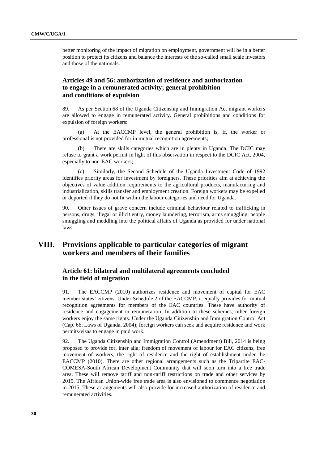better monitoring of the impact of migration on employment, government will be in a better position to protect its citizens and balance the interests of the so-called small scale investors and those of the nationals.

## **Articles 49 and 56: authorization of residence and authorization to engage in a remunerated activity; general prohibition and conditions of expulsion**

89. As per Section 68 of the Uganda Citizenship and Immigration Act migrant workers are allowed to engage in remunerated activity. General prohibitions and conditions for expulsion of foreign workers:

(a) At the EACCMP level, the general prohibition is, if, the worker or professional is not provided for in mutual recognition agreements;

(b) There are skills categories which are in plenty in Uganda. The DCIC may refuse to grant a work permit in light of this observation in respect to the DCIC Act, 2004, especially to non-EAC workers;

Similarly, the Second Schedule of the Uganda Investment Code of 1992 identifies priority areas for investment by foreigners. These priorities aim at achieving the objectives of value addition requirements to the agricultural products, manufacturing and industrialization, skills transfer and employment creation. Foreign workers may be expelled or deported if they do not fit within the labour categories and need for Uganda.

90. Other issues of grave concern include criminal behaviour related to trafficking in persons, drugs, illegal or illicit entry, money laundering, terrorism, arms smuggling, people smuggling and meddling into the political affairs of Uganda as provided for under national laws.

## **VIII. Provisions applicable to particular categories of migrant workers and members of their families**

### **Article 61: bilateral and multilateral agreements concluded in the field of migration**

91. The EACCMP (2010) authorizes residence and movement of capital for EAC member states' citizens. Under Schedule 2 of the EACCMP, it equally provides for mutual recognition agreements for members of the EAC countries. These have authority of residence and engagement in remuneration. In addition to these schemes, other foreign workers enjoy the same rights. Under the Uganda Citizenship and Immigration Control Act (Cap. 66, Laws of Uganda, 2004); foreign workers can seek and acquire residence and work permits/visas to engage in paid work.

92. The Uganda Citizenship and Immigration Control (Amendment) Bill, 2014 is being proposed to provide for, inter alia; freedom of movement of labour for EAC citizens, free movement of workers, the right of residence and the right of establishment under the EACCMP (2010). There are other regional arrangements such as the Tripartite EAC-COMESA-South African Development Community that will soon turn into a free trade area. These will remove tariff and non-tariff restrictions on trade and other services by 2015. The African Union-wide free trade area is also envisioned to commence negotiation in 2015. These arrangements will also provide for increased authorization of residence and remunerated activities.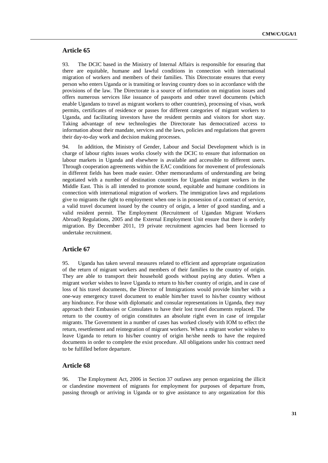### **Article 65**

93. The DCIC based in the Ministry of Internal Affairs is responsible for ensuring that there are equitable, humane and lawful conditions in connection with international migration of workers and members of their families. This Directorate ensures that every person who enters Uganda or is transiting or leaving country does so in accordance with the provisions of the law. The Directorate is a source of information on migration issues and offers numerous services like issuance of passports and other travel documents (which enable Ugandans to travel as migrant workers to other countries), processing of visas, work permits, certificates of residence or passes for different categories of migrant workers to Uganda, and facilitating investors have the resident permits and visitors for short stay. Taking advantage of new technologies the Directorate has democratized access to information about their mandate, services and the laws, policies and regulations that govern their day-to-day work and decision making processes.

94. In addition, the Ministry of Gender, Labour and Social Development which is in charge of labour rights issues works closely with the DCIC to ensure that information on labour markets in Uganda and elsewhere is available and accessible to different users. Through cooperation agreements within the EAC conditions for movement of professionals in different fields has been made easier. Other memorandums of understanding are being negotiated with a number of destination countries for Ugandan migrant workers in the Middle East. This is all intended to promote sound, equitable and humane conditions in connection with international migration of workers. The immigration laws and regulations give to migrants the right to employment when one is in possession of a contract of service, a valid travel document issued by the country of origin, a letter of good standing, and a valid resident permit. The Employment (Recruitment of Ugandan Migrant Workers Abroad) Regulations, 2005 and the External Employment Unit ensure that there is orderly migration. By December 2011, 19 private recruitment agencies had been licensed to undertake recruitment.

### **Article 67**

95. Uganda has taken several measures related to efficient and appropriate organization of the return of migrant workers and members of their families to the country of origin. They are able to transport their household goods without paying any duties. When a migrant worker wishes to leave Uganda to return to his/her country of origin, and in case of loss of his travel documents, the Director of Immigrations would provide him/her with a one-way emergency travel document to enable him/her travel to his/her country without any hindrance. For those with diplomatic and consular representations in Uganda, they may approach their Embassies or Consulates to have their lost travel documents replaced. The return to the country of origin constitutes an absolute right even in case of irregular migrants. The Government in a number of cases has worked closely with IOM to effect the return, resettlement and reintegration of migrant workers. When a migrant worker wishes to leave Uganda to return to his/her country of origin he/she needs to have the required documents in order to complete the exist procedure. All obligations under his contract need to be fulfilled before departure.

#### **Article 68**

96. The Employment Act, 2006 in Section 37 outlaws any person organizing the illicit or clandestine movement of migrants for employment for purposes of departure from, passing through or arriving in Uganda or to give assistance to any organization for this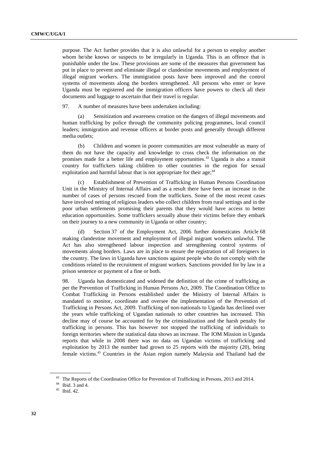purpose. The Act further provides that it is also unlawful for a person to employ another whom he/she knows or suspects to be irregularly in Uganda. This is an offence that is punishable under the law. These provisions are some of the measures that government has put in place to prevent and eliminate illegal or clandestine movements and employment of illegal migrant workers. The immigration posts have been improved and the control systems of movements along the borders strengthened. All persons who enter or leave Uganda must be registered and the immigration officers have powers to check all their documents and luggage to ascertain that their travel is regular.

97. A number of measures have been undertaken including:

(a) Sensitization and awareness creation on the dangers of illegal movements and human trafficking by police through the community policing programmes, local council leaders; immigration and revenue officers at border posts and generally through different media outlets;

(b) Children and women in poorer communities are most vulnerable as many of them do not have the capacity and knowledge to cross check the information on the promises made for a better life and employment opportunities.<sup>43</sup> Uganda is also a transit country for traffickers taking children to other countries in the region for sexual exploitation and harmful labour that is not appropriate for their age;<sup>44</sup>

(c) Establishment of Prevention of Trafficking in Human Persons Coordination Unit in the Ministry of Internal Affairs and as a result there have been an increase in the number of cases of persons rescued from the traffickers. Some of the most recent cases have involved netting of religious leaders who collect children from rural settings and in the poor urban settlements promising their parents that they would have access to better education opportunities. Some traffickers sexually abuse their victims before they embark on their journey to a new community in Uganda or other country;

(d) Section 37 of the Employment Act, 2006 further domesticates Article 68 making clandestine movement and employment of illegal migrant workers unlawful. The Act has also strengthened labour inspection and strengthening control systems of movements along borders. Laws are in place to ensure the registration of all foreigners in the country. The laws in Uganda have sanctions against people who do not comply with the conditions related to the recruitment of migrant workers. Sanctions provided for by law in a prison sentence or payment of a fine or both.

98. Uganda has domesticated and widened the definition of the crime of trafficking as per the Prevention of Trafficking in Human Persons Act, 2009. The Coordination Office to Combat Trafficking in Persons established under the Ministry of Internal Affairs is mandated to monitor, coordinate and oversee the implementation of the Prevention of Trafficking in Persons Act, 2009. Trafficking of non-nationals to Uganda has declined over the years while trafficking of Ugandan nationals to other countries has increased. This decline may of course be accounted for by the criminalization and the harsh penalty for trafficking in persons. This has however not stopped the trafficking of individuals to foreign territories where the statistical data shows an increase. The IOM Mission in Uganda reports that while in 2008 there was no data on Ugandan victims of trafficking and exploitation by 2013 the number had grown to 25 reports with the majority (20), being female victims.<sup>45</sup> Countries in the Asian region namely Malaysia and Thailand had the

<sup>&</sup>lt;sup>43</sup> The Reports of the Coordination Office for Prevention of Trafficking in Persons, 2013 and 2014.

<sup>44</sup> Ibid. 3 and 4.

<sup>45</sup> Ibid. 42.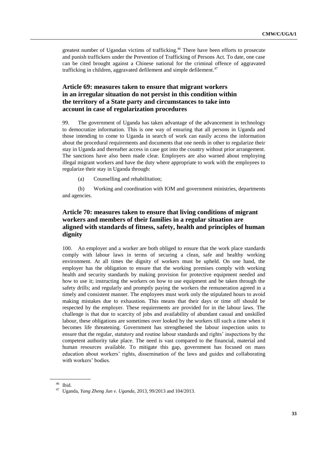greatest number of Ugandan victims of trafficking.<sup>46</sup> There have been efforts to prosecute and punish traffickers under the Prevention of Trafficking of Persons Act. To date, one case can be cited brought against a Chinese national for the criminal offence of aggravated trafficking in children, aggravated defilement and simple defilement.<sup>47</sup>

## **Article 69: measures taken to ensure that migrant workers in an irregular situation do not persist in this condition within the territory of a State party and circumstances to take into account in case of regularization procedures**

99. The government of Uganda has taken advantage of the advancement in technology to democratize information. This is one way of ensuring that all persons in Uganda and those intending to come to Uganda in search of work can easily access the information about the procedural requirements and documents that one needs in other to regularize their stay in Uganda and thereafter access in case got into the country without prior arrangement. The sanctions have also been made clear. Employers are also warned about employing illegal migrant workers and have the duty where appropriate to work with the employees to regularize their stay in Uganda through:

(a) Counselling and rehabilitation;

(b) Working and coordination with IOM and government ministries, departments and agencies.

## **Article 70: measures taken to ensure that living conditions of migrant workers and members of their families in a regular situation are aligned with standards of fitness, safety, health and principles of human dignity**

100. An employer and a worker are both obliged to ensure that the work place standards comply with labour laws in terms of securing a clean, safe and healthy working environment. At all times the dignity of workers must be upheld. On one hand, the employer has the obligation to ensure that the working premises comply with working health and security standards by making provision for protective equipment needed and how to use it; instructing the workers on how to use equipment and be taken through the safety drills; and regularly and promptly paying the workers the remuneration agreed in a timely and consistent manner. The employees must work only the stipulated hours to avoid making mistakes due to exhaustion. This means that their days or time off should be respected by the employer. These requirements are provided for in the labour laws. The challenge is that due to scarcity of jobs and availability of abundant casual and unskilled labour, these obligations are sometimes over looked by the workers till such a time when it becomes life threatening. Government has strengthened the labour inspection units to ensure that the regular, statutory and routine labour standards and rights' inspections by the competent authority take place. The need is vast compared to the financial, material and human resources available. To mitigate this gap, government has focused on mass education about workers' rights, dissemination of the laws and guides and collaborating with workers' bodies.

<sup>46</sup> Ibid.

<sup>47</sup> Uganda, *Yang Zheng Jun v. Uganda*, 2013, 99/2013 and 104/2013.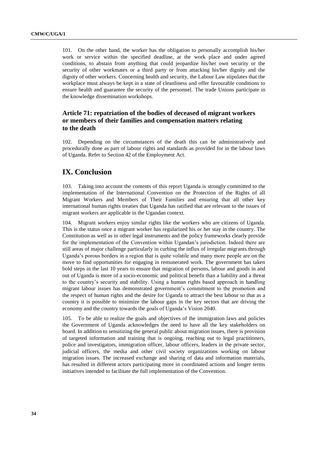101. On the other hand, the worker has the obligation to personally accomplish his/her work or service within the specified deadline, at the work place and under agreed conditions, to abstain from anything that could jeopardize his/her own security or the security of other workmates or a third party or from attacking his/her dignity and the dignity of other workers. Concerning health and security, the Labour Law stipulates that the workplace must always be kept in a state of cleanliness and offer favourable conditions to ensure health and guarantee the security of the personnel. The trade Unions participate in the knowledge dissemination workshops.

## **Article 71: repatriation of the bodies of deceased of migrant workers or members of their families and compensation matters relating to the death**

102. Depending on the circumstances of the death this can be administratively and procedurally done as part of labour rights and standards as provided for in the labour laws of Uganda. Refer to Section 42 of the Employment Act.

## **IX. Conclusion**

103. Taking into account the contents of this report Uganda is strongly committed to the implementation of the International Convention on the Protection of the Rights of all Migrant Workers and Members of Their Families and ensuring that all other key international human rights treaties that Uganda has ratified that are relevant to the issues of migrant workers are applicable in the Ugandan context.

104. Migrant workers enjoy similar rights like the workers who are citizens of Uganda. This is the status once a migrant worker has regularized his or her stay in the country. The Constitution as well as in other legal instruments and the policy frameworks clearly provide for the implementation of the Convention within Ugandan's jurisdiction. Indeed there are still areas of major challenge particularly in curbing the influx of irregular migrants through Uganda's porous borders in a region that is quite volatile and many more people are on the move to find opportunities for engaging in remunerated work. The government has taken bold steps in the last 10 years to ensure that migration of persons, labour and goods in and out of Uganda is more of a socio-economic and political benefit than a liability and a threat to the country's security and stability. Using a human rights based approach in handling migrant labour issues has demonstrated government's commitment to the promotion and the respect of human rights and the desire for Uganda to attract the best labour so that as a country it is possible to minimize the labour gaps in the key sectors that are driving the economy and the country towards the goals of Uganda's Vision 2040.

105. To be able to realize the goals and objectives of the immigration laws and policies the Government of Uganda acknowledges the need to have all the key stakeholders on board. In addition to sensitizing the general public about migration issues, there is provision of targeted information and training that is ongoing, reaching out to legal practitioners, police and investigators, immigration officer, labour officers, leaders in the private sector, judicial officers, the media and other civil society organizations working on labour migration issues. The increased exchange and sharing of data and information materials, has resulted in different actors participating more in coordinated actions and longer terms initiatives intended to facilitate the full implementation of the Convention.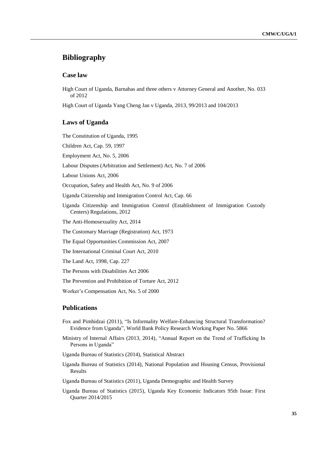# **Bibliography**

#### **Case law**

High Court of Uganda, Barnabas and three others v Attorney General and Another, No. 033 of 2012

High Court of Uganda Yang Cheng Jan v Uganda, 2013, 99/2013 and 104/2013

#### **Laws of Uganda**

The Constitution of Uganda, 1995

Children Act, Cap. 59, 1997

Employment Act, No. 5, 2006

Labour Disputes (Arbitration and Settlement) Act, No. 7 of 2006

Labour Unions Act, 2006

Occupation, Safety and Health Act, No. 9 of 2006

Uganda Citizenship and Immigration Control Act, Cap. 66

Uganda Citizenship and Immigration Control (Establishment of Immigration Custody Centers) Regulations, 2012

The Anti-Homosexuality Act, 2014

The Customary Marriage (Registration) Act, 1973

The Equal Opportunities Commission Act, 2007

The International Criminal Court Act, 2010

The Land Act, 1998, Cap. 227

The Persons with Disabilities Act 2006

The Prevention and Prohibition of Torture Act, 2012

Worker's Compensation Act, No. 5 of 2000

### **Publications**

- Fox and Pimhidzai (2011), "Is Informality Welfare-Enhancing Structural Transformation? Evidence from Uganda", World Bank Policy Research Working Paper No. 5866
- Ministry of Internal Affairs (2013, 2014), "Annual Report on the Trend of Trafficking In Persons in Uganda"

Uganda Bureau of Statistics (2014), Statistical Abstract

Uganda Bureau of Statistics (2014), National Population and Housing Census, Provisional Results

Uganda Bureau of Statistics (2011), Uganda Demographic and Health Survey

Uganda Bureau of Statistics (2015), Uganda Key Economic Indicators 95th Issue: First Quarter 2014/2015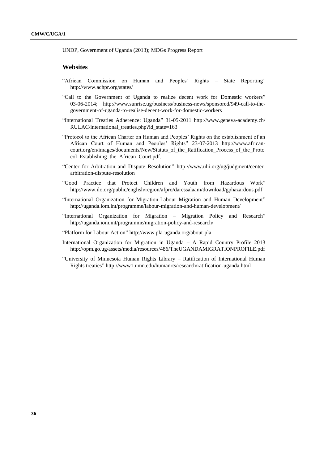UNDP, Government of Uganda (2013); MDGs Progress Report

#### **Websites**

- "African Commission on Human and Peoples' Rights State Reporting" <http://www.achpr.org/states/>
- "Call to the Government of Uganda to realize decent work for Domestic workers" 03-06-2014; [http://www.sunrise.ug/business/business-news/sponsored/949-call-to-the](http://www.sunrise.ug/business/business-news/sponsored/949-call-to-the-government-of-uganda-to-realise-decent-work-for-domestic-workers)[government-of-uganda-to-realise-decent-work-for-domestic-workers](http://www.sunrise.ug/business/business-news/sponsored/949-call-to-the-government-of-uganda-to-realise-decent-work-for-domestic-workers)
- "International Treaties Adherence: Uganda" 31-05-2011 [http://www.geneva-academy.ch/](http://www.geneva-academy.ch/%0bRULAC/international_treaties.php?id_state=163) [RULAC/international\\_treaties.php?id\\_state=163](http://www.geneva-academy.ch/%0bRULAC/international_treaties.php?id_state=163)
- "Protocol to the African Charter on Human and Peoples' Rights on the establishment of an African Court of Human and Peoples' Rights" 23-07-2013 [http://www.african](http://www.african-court.org/en/images/documents/New/Statuts_of_the_Ratification_Process_of_the_Protocol_Establishing_the_African_Court.pdf)[court.org/en/images/documents/New/Statuts\\_of\\_the\\_Ratification\\_Process\\_of\\_the\\_Proto](http://www.african-court.org/en/images/documents/New/Statuts_of_the_Ratification_Process_of_the_Protocol_Establishing_the_African_Court.pdf) [col\\_Establishing\\_the\\_African\\_Court.pdf.](http://www.african-court.org/en/images/documents/New/Statuts_of_the_Ratification_Process_of_the_Protocol_Establishing_the_African_Court.pdf)
- "Center for Arbitration and Dispute Resolution" [http://www.ulii.org/ug/judgment/center](http://www.ulii.org/ug/judgment/center-arbitration-dispute-resolution)[arbitration-dispute-resolution](http://www.ulii.org/ug/judgment/center-arbitration-dispute-resolution)
- "Good Practice that Protect Children and Youth from Hazardous Work" <http://www.ilo.org/public/english/region/afpro/daressalaam/download/gphazardous.pdf>
- "International Organization for Migration-Labour Migration and Human Development" <http://uganda.iom.int/programme/labour-migration-and-human-development/>
- "International Organization for Migration Migration Policy and Research" <http://uganda.iom.int/programme/migration-policy-and-research/>
- "Platform for Labour Action" <http://www.pla-uganda.org/about-pla>
- International Organization for Migration in Uganda A Rapid Country Profile 2013 <http://opm.go.ug/assets/media/resources/486/TheUGANDAMIGRATIONPROFILE.pdf>
- "University of Minnesota Human Rights Library Ratification of International Human Rights treaties" <http://www1.umn.edu/humanrts/research/ratification-uganda.html>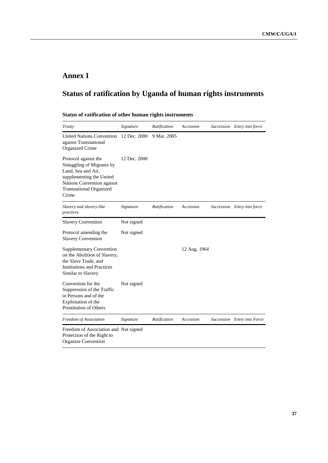# **Annex I**

# **Status of ratification by Uganda of human rights instruments**

## **Status of ratification of other human rights instruments**

| Treaty                                                                                                                                                                      | Signature    | Ratification | Accession    | Succession Entry into force |
|-----------------------------------------------------------------------------------------------------------------------------------------------------------------------------|--------------|--------------|--------------|-----------------------------|
| <b>United Nations Convention</b><br>against Transnational<br><b>Organized Crime</b>                                                                                         | 12 Dec. 2000 | 9 Mar. 2005  |              |                             |
| Protocol against the<br>Smuggling of Migrants by<br>Land, Sea and Air,<br>supplementing the United<br>Nations Convention against<br><b>Transnational Organized</b><br>Crime | 12 Dec. 2000 |              |              |                             |
| Slavery and slavery-like<br>practices                                                                                                                                       | Signature    | Ratification | Accession    | Succession Entry into force |
| <b>Slavery Convention</b>                                                                                                                                                   | Not signed   |              |              |                             |
| Protocol amending the<br><b>Slavery Convention</b>                                                                                                                          | Not signed   |              |              |                             |
| <b>Supplementary Convention</b><br>on the Abolition of Slavery,<br>the Slave Trade, and<br><b>Institutions and Practices</b><br>Similar to Slavery                          |              |              | 12 Aug. 1964 |                             |
| Convention for the<br>Suppression of the Traffic<br>in Persons and of the<br>Exploitation of the<br><b>Prostitution of Others</b>                                           | Not signed   |              |              |                             |
| Freedom of Association                                                                                                                                                      | Signature    | Ratification | Accession    | Succession Entry into Force |
| Freedom of Association and Not signed<br>Protection of the Right to                                                                                                         |              |              |              |                             |

[Organize Convention](http://www1.umn.edu/humanrts/instree/m1fapro.htm)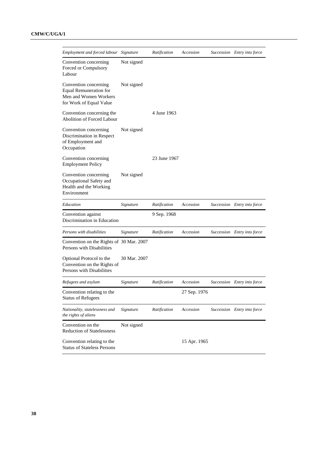| Employment and forced labour                                                                               | Signature    | Ratification | Accession    | Succession Entry into force |
|------------------------------------------------------------------------------------------------------------|--------------|--------------|--------------|-----------------------------|
| Convention concerning<br>Forced or Compulsory<br>Labour                                                    | Not signed   |              |              |                             |
| Convention concerning<br><b>Equal Remuneration for</b><br>Men and Women Workers<br>for Work of Equal Value | Not signed   |              |              |                             |
| Convention concerning the<br><b>Abolition of Forced Labour</b>                                             |              | 4 June 1963  |              |                             |
| Convention concerning<br>Discrimination in Respect<br>of Employment and<br>Occupation                      | Not signed   |              |              |                             |
| Convention concerning<br><b>Employment Policy</b>                                                          |              | 23 June 1967 |              |                             |
| Convention concerning<br>Occupational Safety and<br>Health and the Working<br>Environment                  | Not signed   |              |              |                             |
| Education                                                                                                  | Signature    | Ratification | Accession    | Succession Entry into force |
| Convention against<br>Discrimination in Education                                                          |              | 9 Sep. 1968  |              |                             |
| Persons with disabilities                                                                                  | Signature    | Ratification | Accession    | Succession Entry into force |
| Convention on the Rights of 30 Mar. 2007<br>Persons with Disabilities                                      |              |              |              |                             |
| Optional Protocol to the<br>Convention on the Rights of<br>Persons with Disabilities                       | 30 Mar. 2007 |              |              |                             |
| Refugees and asylum                                                                                        | Signature    | Ratification | Accession    | Succession Entry into force |
| Convention relating to the<br><b>Status of Refugees</b>                                                    |              |              | 27 Sep. 1976 |                             |
| Nationality, statelessness and<br>the rights of aliens                                                     | Signature    | Ratification | Accession    | Succession Entry into force |
| Convention on the<br><b>Reduction of Statelessness</b>                                                     | Not signed   |              |              |                             |
| Convention relating to the<br><b>Status of Stateless Persons</b>                                           |              |              | 15 Apr. 1965 |                             |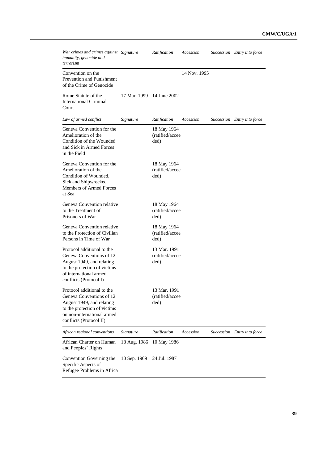| War crimes and crimes against Signature<br>humanity, genocide and<br>terrorism                                                                                               |              | Ratification                            | Accession    | Succession Entry into force |
|------------------------------------------------------------------------------------------------------------------------------------------------------------------------------|--------------|-----------------------------------------|--------------|-----------------------------|
| Convention on the<br>Prevention and Punishment<br>of the Crime of Genocide                                                                                                   |              |                                         | 14 Nov. 1995 |                             |
| Rome Statute of the<br><b>International Criminal</b><br>Court                                                                                                                |              | 17 Mar. 1999 14 June 2002               |              |                             |
| Law of armed conflict                                                                                                                                                        | Signature    | Ratification                            | Accession    | Succession Entry into force |
| Geneva Convention for the<br>Amelioration of the<br>Condition of the Wounded<br>and Sick in Armed Forces<br>in the Field                                                     |              | 18 May 1964<br>(ratified/accee<br>ded)  |              |                             |
| Geneva Convention for the<br>Amelioration of the<br>Condition of Wounded,<br>Sick and Shipwrecked<br>Members of Armed Forces<br>at Sea                                       |              | 18 May 1964<br>(ratified/accee<br>ded)  |              |                             |
| Geneva Convention relative<br>to the Treatment of<br>Prisoners of War                                                                                                        |              | 18 May 1964<br>(ratified/accee<br>ded)  |              |                             |
| Geneva Convention relative<br>to the Protection of Civilian<br>Persons in Time of War                                                                                        |              | 18 May 1964<br>(ratified/accee<br>ded)  |              |                             |
| Protocol additional to the<br>Geneva Conventions of 12<br>August 1949, and relating<br>to the protection of victims<br>of international armed<br>conflicts (Protocol I)      |              | 13 Mar. 1991<br>(ratified/accee<br>ded) |              |                             |
| Protocol additional to the<br>Geneva Conventions of 12<br>August 1949, and relating<br>to the protection of victims<br>on non-international armed<br>conflicts (Protocol II) |              | 13 Mar. 1991<br>(ratified/accee<br>ded) |              |                             |
| African regional conventions                                                                                                                                                 | Signature    | Ratification                            | Accession    | Succession Entry into force |
| African Charter on Human<br>and Peoples' Rights                                                                                                                              | 18 Aug. 1986 | 10 May 1986                             |              |                             |
| Convention Governing the<br>Specific Aspects of<br>Refugee Problems in Africa                                                                                                | 10 Sep. 1969 | 24 Jul. 1987                            |              |                             |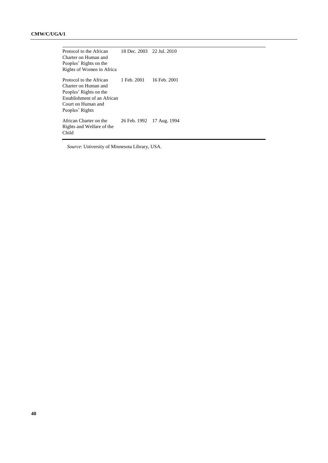[Protocol to the African](http://www1.umn.edu/humanrts/africa/protocol-women2003.html)  [Charter on Human](http://www1.umn.edu/humanrts/africa/protocol-women2003.html) and [Peoples' Rights on the](http://www1.umn.edu/humanrts/africa/protocol-women2003.html) [Rights of Women in Africa](http://www1.umn.edu/humanrts/africa/protocol-women2003.html) 18 Dec. 2003 22 Jul. 2010 [Protocol to the African](http://www1.umn.edu/humanrts/africa/courtprotocol2004.html)  [Charter on Human and](http://www1.umn.edu/humanrts/africa/courtprotocol2004.html)  [Peoples' Rights on the](http://www1.umn.edu/humanrts/africa/courtprotocol2004.html) [Establishment of an African](http://www1.umn.edu/humanrts/africa/courtprotocol2004.html)  [Court on Human and](http://www1.umn.edu/humanrts/africa/courtprotocol2004.html)  [Peoples' Rights](http://www1.umn.edu/humanrts/africa/courtprotocol2004.html) 1 Feb. 2001 16 Feb. 2001 [African Charter on the](http://www1.umn.edu/humanrts/africa/afchild.htm)  [Rights and Welfare of the](http://www1.umn.edu/humanrts/africa/afchild.htm)  [Child](http://www1.umn.edu/humanrts/africa/afchild.htm) 26 Feb. 1992 17 Aug. 1994

*Source*: University of Minnesota Library, USA.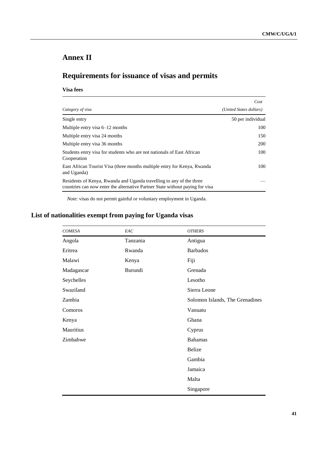# **Annex II**

# **Requirements for issuance of visas and permits**

#### **Visa fees**

|                                                                                                                                                       | Cost                    |  |
|-------------------------------------------------------------------------------------------------------------------------------------------------------|-------------------------|--|
| Category of visa                                                                                                                                      | (United States dollars) |  |
| Single entry                                                                                                                                          | 50 per individual       |  |
| Multiple entry visa $6-12$ months                                                                                                                     | 100                     |  |
| Multiple entry visa 24 months                                                                                                                         | 150                     |  |
| Multiple entry visa 36 months                                                                                                                         | 200                     |  |
| Students entry visa for students who are not nationals of East African<br>Cooperation                                                                 | 100                     |  |
| East African Tourist Visa (three months multiple entry for Kenya, Rwanda<br>and Uganda)                                                               | 100                     |  |
| Residents of Kenya, Rwanda and Uganda travelling to any of the three<br>countries can now enter the alternative Partner State without paying for visa |                         |  |

*Note*: visas do not permit gainful or voluntary employment in Uganda.

# **List of nationalities exempt from paying for Uganda visas**

| <b>COMESA</b> | EAC      | <b>OTHERS</b>                   |
|---------------|----------|---------------------------------|
| Angola        | Tanzania | Antigua                         |
| Eritrea       | Rwanda   | <b>Barbados</b>                 |
| Malawi        | Kenya    | Fiji                            |
| Madagascar    | Burundi  | Grenada                         |
| Seychelles    |          | Lesotho                         |
| Swaziland     |          | Sierra Leone                    |
| Zambia        |          | Solomon Islands, The Grenadines |
| Comoros       |          | Vanuatu                         |
| Kenya         |          | Ghana                           |
| Mauritius     |          | Cyprus                          |
| Zimbabwe      |          | <b>Bahamas</b>                  |
|               |          | Belize                          |
|               |          | Gambia                          |
|               |          | Jamaica                         |
|               |          | Malta                           |
|               |          | Singapore                       |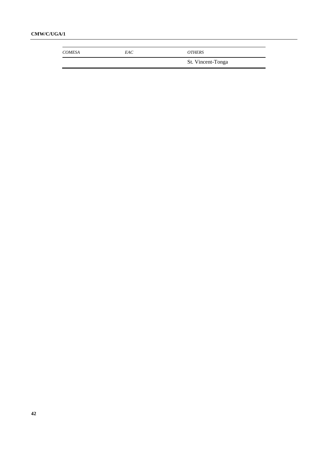### **CMW/C/UGA/1**

| <b>COMESA</b> | EAC | <b>OTHERS</b>     |
|---------------|-----|-------------------|
|               |     | St. Vincent-Tonga |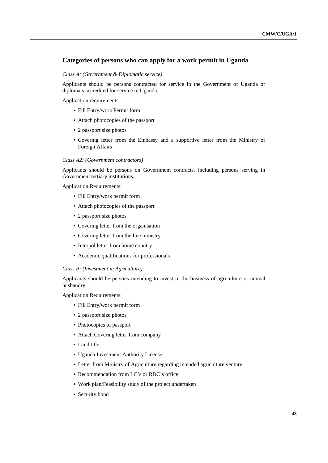#### **Categories of persons who can apply for a work permit in Uganda**

#### *Class A: (Government & Diplomatic service)*

Applicants should be persons contracted for service in the Government of Uganda or diplomats accredited for service in Uganda.

Application requirements:

- Fill Entry/work Permit form
- Attach photocopies of the passport
- 2 passport size photos
- Covering letter from the Embassy and a supportive letter from the Ministry of Foreign Affairs

#### *Class A2: (Government contractors)*

Applicants should be persons on Government contracts, including persons serving in Government tertiary institutions.

Application Requirements:

- Fill Entry/work permit form
- Attach photocopies of the passport
- 2 passport size photos
- Covering letter from the organisation
- Covering letter from the line ministry
- Interpol letter from home country
- Academic qualifications for professionals

#### *Class B: (Investment in Agriculture)*

Applicants should be persons intending to invest in the business of agriculture or animal husbandry.

Application Requirements:

- Fill Entry/work permit form
- 2 passport size photos
- Photocopies of passport
- Attach Covering letter from company
- Land title
- Uganda Investment Authority License
- Letter from Ministry of Agriculture regarding intended agriculture venture
- Recommendation from LC's or RDC's office
- Work plan/Feasibility study of the project undertaken
- Security bond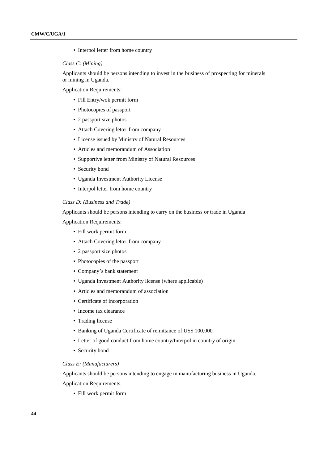• Interpol letter from home country

#### *Class C: (Mining)*

Applicants should be persons intending to invest in the business of prospecting for minerals or mining in Uganda.

Application Requirements:

- Fill Entry/wok permit form
- Photocopies of passport
- 2 passport size photos
- Attach Covering letter from company
- License issued by Ministry of Natural Resources
- Articles and memorandum of Association
- Supportive letter from Ministry of Natural Resources
- Security bond
- Uganda Investment Authority License
- Interpol letter from home country

#### *Class D: (Business and Trade)*

Applicants should be persons intending to carry on the business or trade in Uganda Application Requirements:

- Fill work permit form
- Attach Covering letter from company
- 2 passport size photos
- Photocopies of the passport
- Company's bank statement
- Uganda Investment Authority license (where applicable)
- Articles and memorandum of association
- Certificate of incorporation
- Income tax clearance
- Trading license
- Banking of Uganda Certificate of remittance of US\$ 100,000
- Letter of good conduct from home country/Interpol in country of origin
- Security bond

#### *Class E: (Manufacturers)*

Applicants should be persons intending to engage in manufacturing business in Uganda. Application Requirements:

• Fill work permit form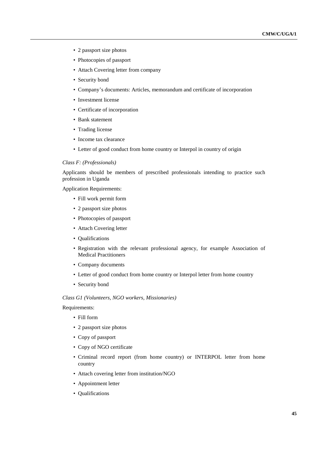- 2 passport size photos
- Photocopies of passport
- Attach Covering letter from company
- Security bond
- Company's documents: Articles, memorandum and certificate of incorporation
- Investment license
- Certificate of incorporation
- Bank statement
- Trading license
- Income tax clearance
- Letter of good conduct from home country or Interpol in country of origin

#### *Class F: (Professionals)*

Applicants should be members of prescribed professionals intending to practice such profession in Uganda

Application Requirements:

- Fill work permit form
- 2 passport size photos
- Photocopies of passport
- Attach Covering letter
- Qualifications
- Registration with the relevant professional agency, for example Association of Medical Practitioners
- Company documents
- Letter of good conduct from home country or Interpol letter from home country
- Security bond

#### *Class G1 (Volunteers, NGO workers, Missionaries)*

Requirements:

- Fill form
- 2 passport size photos
- Copy of passport
- Copy of NGO certificate
- Criminal record report (from home country) or INTERPOL letter from home country
- Attach covering letter from institution/NGO
- Appointment letter
- Qualifications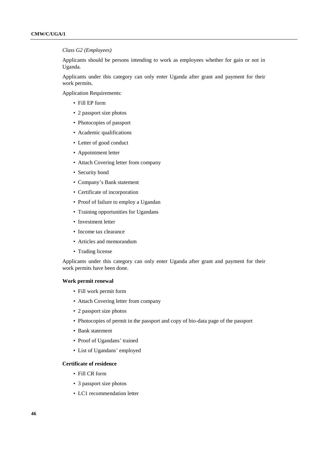#### *Class G2 (Employees)*

Applicants should be persons intending to work as employees whether for gain or not in Uganda.

Applicants under this category can only enter Uganda after grant and payment for their work permits.

Application Requirements:

- Fill EP form
- 2 passport size photos
- Photocopies of passport
- Academic qualifications
- Letter of good conduct
- Appointment letter
- Attach Covering letter from company
- Security bond
- Company's Bank statement
- Certificate of incorporation
- Proof of failure to employ a Ugandan
- Training opportunities for Ugandans
- Investment letter
- Income tax clearance
- Articles and memorandum
- Trading license

Applicants under this category can only enter Uganda after grant and payment for their work permits have been done.

#### **Work permit renewal**

- Fill work permit form
- Attach Covering letter from company
- 2 passport size photos
- Photocopies of permit in the passport and copy of bio-data page of the passport
- Bank statement
- Proof of Ugandans' trained
- List of Ugandans' employed

#### **Certificate of residence**

- Fill CR form
- 3 passport size photos
- LC1 recommendation letter